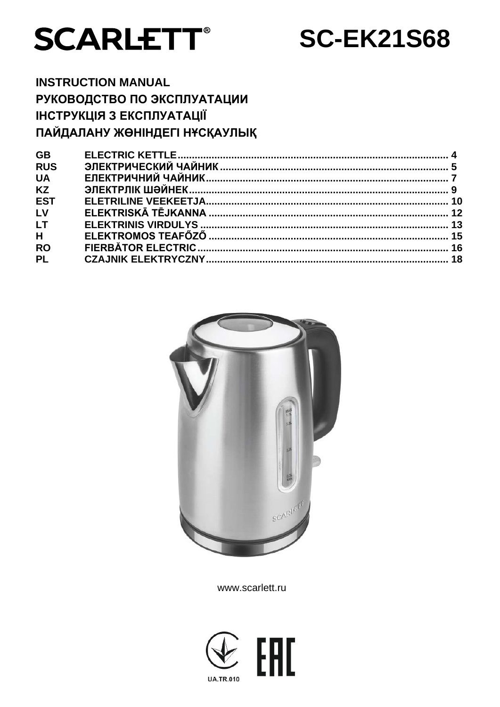

**SC-EK21S68** 

# **INSTRUCTION MANUAL** РУКОВОДСТВО ПО ЭКСПЛУАТАЦИИ ІНСТРУКЦІЯ З ЕКСПЛУАТАЦІЇ ПАЙДАЛАНУ ЖӨНІНДЕГІ НҰСҚАУЛЫҚ

| <b>GB</b>  |  |
|------------|--|
| <b>RUS</b> |  |
| <b>UA</b>  |  |
| <b>KZ</b>  |  |
| <b>EST</b> |  |
| LV         |  |
| <b>LT</b>  |  |
| H          |  |
| <b>RO</b>  |  |
| <b>PL</b>  |  |
|            |  |



www.scarlett.ru

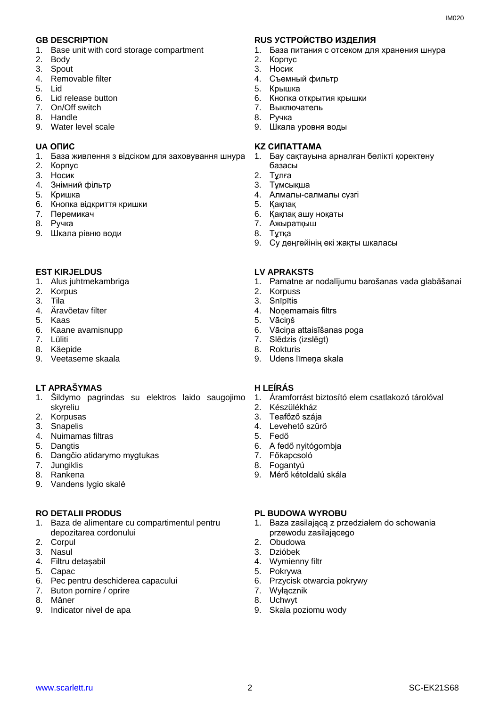- 1. Base unit with cord storage compartment
- 2. Body
- 3. Spout
- 4. Removable filter
- 5. Lid
- 6. Lid release button
- 7. On/Off switch
- 8. Handle
- 9. Water level scale

- 1. База живлення з відсіком для заховування шнура
- 2. Корпус
- 3. Носик
- 4. Знiмний фільтр
- 5. Кришка
- 6. Кнопка відкриття кришки
- 7. Перемикач
- 8. Ручка
- 9. Шкала рівню води

### **EST KIRJELDUS LV APRAKSTS**

- 1. Alus juhtmekambriga
- 2. Korpus
- 3. Tila
- 4. Äravõetav filter
- 5. Kaas
- 6. Kaane avamisnupp
- 7. Lüliti
- 8. Käepide
- 9. Veetaseme skaala

### **LT APRAŠYMAS H LEÍRÁS**

- 1. Šildymo pagrindas su elektros laido saugojimo skyreliu
- 2. Korpusas
- 3. Snapelis
- 4. Nuimamas filtras
- 5. Dangtis
- 6. Dangčio atidarymo mygtukas
- 7. Jungiklis
- 8. Rankena
- 9. Vandens lygio skalė

- 1. Baza de alimentare cu compartimentul pentru depozitarea cordonului
- 2. Corpul
- 3. Nasul
- 4. Filtru detașabil
- 5. Capac
- 6. Pec pentru deschiderea capacului
- 7. Buton pornire / oprire
- 8. Mâner
- 9. Indicator nivel de apa

### **GB DESCRIPTION RUS УСТРОЙСТВО ИЗДЕЛИЯ**

- 1. База питания с отсеком для хранения шнура
- 2. Корпус
- 3. Носик
- 4. Съемный фильтр
- 5. Крышка
- 6. Кнопка открытия крышки
- 7. Выключатель
- 8. Ручка
- 9. Шкала уровня воды

### **UA ОПИС KZ СИПАТТАМА**

- 1. Бау сақтауына арналған бөлікті қоректену базасы
- 2. Тұлға
- 3. Тұмсықша
- 4. Алмалы-салмалы сүзгі
- 5. Қақпақ
- 6. Қақпақ ашу ноқаты
- 7. Ажыратқыш
- 8. Тұтқа
- 9. Су деңгейінің екі жақты шкаласы

- 1. Pamatne ar nodalījumu barošanas vada glabāšanai
- 2. Korpuss
- 3. Snīpītis
- 4. Noņemamais filtrs
- 5. Vāciņš
- 6. Vāciņa attaisīšanas poga
- 7. Slēdzis (izslēgt)
- 8. Rokturis
- 9. Udens līmeņa skala

- 1. Áramforrást biztosító elem csatlakozó tárolóval
- 2. Készülékház
- 3. Teafőző szája
- 4. Levehető szűrő
- 5. Fedő
- 6. A fedő nyitógombja
- 7. Főkapcsoló
- 8. Fogantyú
- 9. Mérő kétoldalú skála

### **RO DETALII PRODUS PL BUDOWA WYROBU**

- 1. Baza zasilającą z przedziałem do schowania przewodu zasilającego
- 2. Obudowa
- 3. Dzióbek
- 4. Wymienny filtr
- 5. Pokrywa
- 6. Przycisk otwarcia pokrywy
- 7. Wyłącznik
- 8. Uchwyt 9. Skala poziomu wody

www.scarlett.ru 2 SC-EK21S68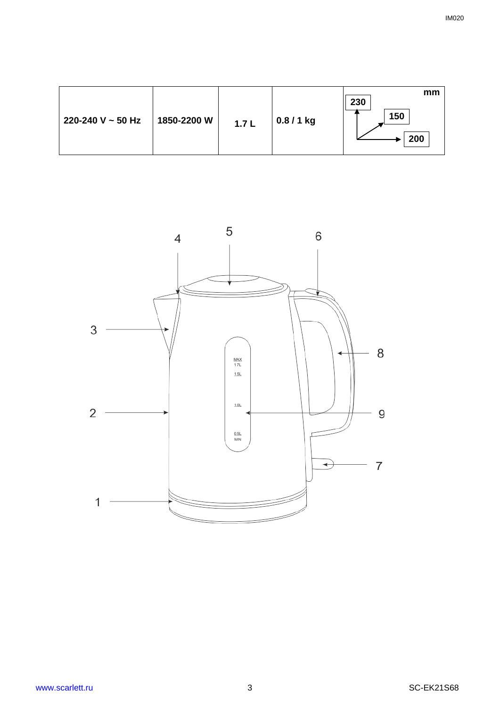| 220-240 V ~ 50 Hz<br>1850-2200 W | 1.7L | $0.8/1$ kg | mm<br>230<br>150<br>200 |
|----------------------------------|------|------------|-------------------------|
|----------------------------------|------|------------|-------------------------|

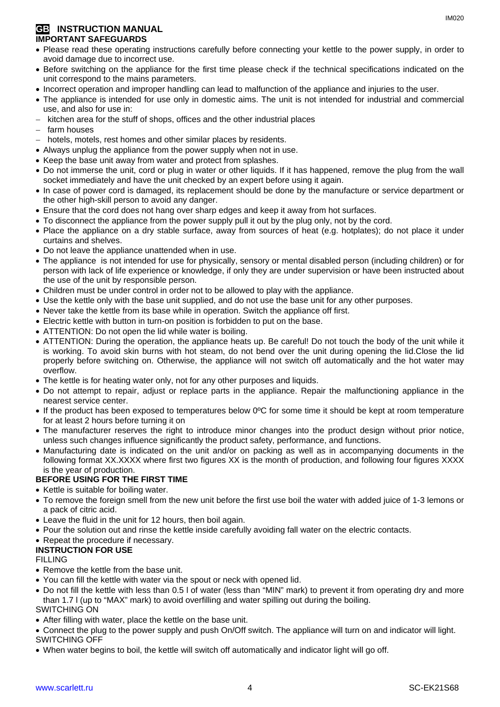# **GB INSTRUCTION MANUAL IMPORTANT SAFEGUARDS**

- Please read these operating instructions carefully before connecting your kettle to the power supply, in order to avoid damage due to incorrect use.
- Before switching on the appliance for the first time please check if the technical specifications indicated on the unit correspond to the mains parameters.
- Incorrect operation and improper handling can lead to malfunction of the appliance and injuries to the user.
- The appliance is intended for use only in domestic aims. The unit is not intended for industrial and commercial use, and also for use in:
- kitchen area for the stuff of shops, offices and the other industrial places
- farm houses
- hotels, motels, rest homes and other similar places by residents.
- Always unplug the appliance from the power supply when not in use.
- Keep the base unit away from water and protect from splashes.
- Do not immerse the unit, cord or plug in water or other liquids. If it has happened, remove the plug from the wall socket immediately and have the unit checked by an expert before using it again.
- In case of power cord is damaged, its replacement should be done by the manufacture or service department or the other high-skill person to avoid any danger.
- Ensure that the cord does not hang over sharp edges and keep it away from hot surfaces.
- To disconnect the appliance from the power supply pull it out by the plug only, not by the cord.
- Place the appliance on a dry stable surface, away from sources of heat (e.g. hotplates); do not place it under curtains and shelves.
- Do not leave the appliance unattended when in use.
- The appliance is not intended for use for [physically, sensory or mental disabled](https://www.multitran.ru/c/m.exe?t=5841801_1_2&s1=%F7%E5%EB%EE%E2%E5%EA%20%F1%20%EE%E3%F0%E0%ED%E8%F7%E5%ED%ED%FB%EC%E8%20%E2%EE%E7%EC%EE%E6%ED%EE%F1%F2%FF%EC%E8) person (including children) or for person with lack of life experience or knowledge, if only they are under supervision or have been instructed about the use of the unit by responsible person.
- Children must be under control in order not to be allowed to play with the appliance.
- Use the kettle only with the base unit supplied, and do not use the base unit for any other purposes.
- Never take the kettle from its base while in operation. Switch the appliance off first.
- Electric kettle with button in turn-on position is forbidden to put on the base.
- ATTENTION: Do not open the lid while water is boiling.
- ATTENTION: During the operation, the appliance heats up. Be careful! Do not touch the body of the unit while it is working. To avoid skin burns with hot steam, do not bend over the unit during opening the lid.Close the lid properly before switching on. Otherwise, the appliance will not switch off automatically and the hot water may overflow.
- The kettle is for heating water only, not for any other purposes and liquids.
- Do not attempt to repair, adjust or replace parts in the appliance. Repair the malfunctioning appliance in the nearest service center.
- If the product has been exposed to temperatures below 0ºC for some time it should be kept at room temperature for at least 2 hours before turning it on
- The manufacturer reserves the right to introduce minor changes into the product design without prior notice, unless such changes influence significantly the product safety, performance, and functions.
- Manufacturing date is indicated on the unit and/or on packing as well as in accompanying documents in the following format XX.XXXX where first two figures XX is the month of production, and following four figures XXXX is the year of production.

# **BEFORE USING FOR THE FIRST TIME**

- Kettle is suitable for boiling water.
- To remove the foreign smell from the new unit before the first use boil the water with added juice of 1-3 lemons or a pack of citric acid.
- Leave the fluid in the unit for 12 hours, then boil again.
- Pour the solution out and rinse the kettle inside carefully avoiding fall water on the electric contacts.
- Repeat the procedure if necessary.

# **INSTRUCTION FOR USE**

FILLING

- Remove the kettle from the base unit.
- You can fill the kettle with water via the spout or neck with opened lid.
- Do not fill the kettle with less than 0.5 l of water (less than "MIN" mark) to prevent it from operating dry and more than 1.7 l (up to "MAX" mark) to avoid overfilling and water spilling out during the boiling. SWITCHING ON
- After filling with water, place the kettle on the base unit.
- Connect the plug to the power supply and push On/Off switch. The appliance will turn on and indicator will light. SWITCHING OFF
- When water begins to boil, the kettle will switch off automatically and indicator light will go off.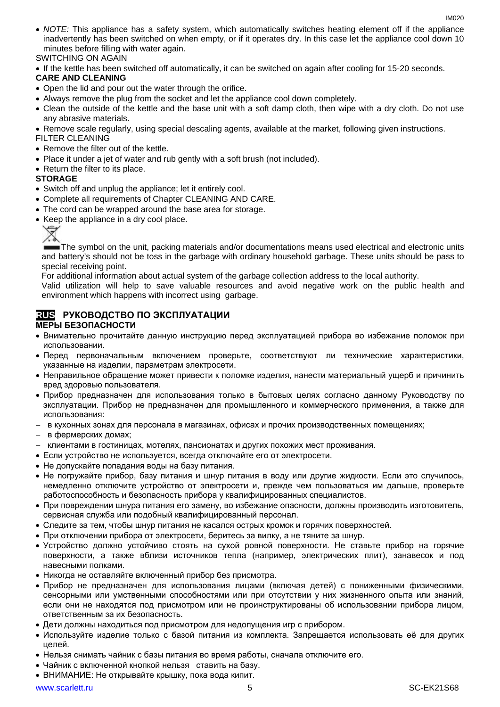- *NOTE:* This appliance has a safety system, which automatically switches heating element off if the appliance inadvertently has been switched on when empty, or if it operates dry. In this case let the appliance cool down 10 minutes before filling with water again. SWITCHING ON AGAIN
- If the kettle has been switched off automatically, it can be switched on again after cooling for 15-20 seconds.

### **CARE AND CLEANING**

- Open the lid and pour out the water through the orifice.
- Always remove the plug from the socket and let the appliance cool down completely.
- Clean the outside of the kettle and the base unit with a soft damp cloth, then wipe with a dry cloth. Do not use any abrasive materials.
- Remove scale regularly, using special descaling agents, available at the market, following given instructions.

FILTER CLEANING

- Remove the filter out of the kettle.
- Place it under a jet of water and rub gently with a soft brush (not included).
- Return the filter to its place.

### **STORAGE**

- Switch off and unplug the appliance; let it entirely cool.
- Complete all requirements of Chapter CLEANING AND CARE.
- The cord can be wrapped around the base area for storage.
- Keep the appliance in a dry cool place.



The symbol on the unit, packing materials and/or documentations means used electrical and electronic units and battery's should not be toss in the garbage with ordinary household garbage. These units should be pass to special receiving point.

For additional information about actual system of the garbage collection address to the local authority.

Valid utilization will help to save valuable resources and avoid negative work on the public health and environment which happens with incorrect using garbage.

# **RUS РУКОВОДСТВО ПО ЭКСПЛУАТАЦИИ**

### **МЕРЫ БЕЗОПАСНОСТИ**

- Внимательно прочитайте данную инструкцию перед эксплуатацией прибора во избежание поломок при использовании.
- Перед первоначальным включением проверьте, соответствуют ли технические характеристики, указанные на изделии, параметрам электросети.
- Неправильное обращение может привести к поломке изделия, нанести материальный ущерб и причинить вред здоровью пользователя.
- Прибор предназначен для использования только в бытовых целях согласно данному Руководству по эксплуатации. Прибор не предназначен для промышленного и коммерческого применения, а также для использования:
- − в кухонных зонах для персонала в магазинах, офисах и прочих производственных помещениях;
- − в фермерских домах;
- − клиентами в гостиницах, мотелях, пансионатах и других похожих мест проживания.
- Если устройство не используется, всегда отключайте его от электросети.
- Не допускайте попадания воды на базу питания.
- Не погружайте прибор, базу питания и шнур питания в воду или другие жидкости. Если это случилось, немедленно отключите устройство от электросети и, прежде чем пользоваться им дальше, проверьте работоспособность и безопасность прибора у квалифицированных специалистов.
- При повреждении шнура питания его замену, во избежание опасности, должны производить изготовитель, сервисная служба или подобный квалифицированный персонал.
- Следите за тем, чтобы шнур питания не касался острых кромок и горячих поверхностей.
- При отключении прибора от электросети, беритесь за вилку, а не тяните за шнур.
- Устройство должно устойчиво стоять на сухой ровной поверхности. Не ставьте прибор на горячие поверхности, а также вблизи источников тепла (например, электрических плит), занавесок и под навесными полками.
- Никогда не оставляйте включенный прибор без присмотра.
- Прибор не предназначен для использования лицами (включая детей) с пониженными физическими, сенсорными или умственными способностями или при отсутствии у них жизненного опыта или знаний, если они не находятся под присмотром или не проинструктированы об использовании прибора лицом, ответственным за их безопасность.
- Дети должны находиться под присмотром для недопущения игр с прибором.
- Используйте изделие только с базой питания из комплекта. Запрещается использовать её для других целей.
- Нельзя снимать чайник с базы питания во время работы, сначала отключите его.
- Чайник с включенной кнопкой нельзя ставить на базу.
- ВНИМАНИЕ: Не открывайте крышку, пока вода кипит.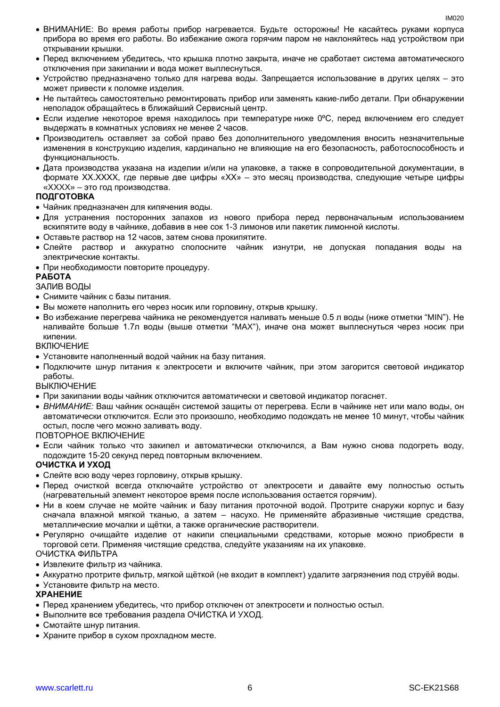- ВНИМАНИЕ: Во время работы прибор нагревается. Будьте осторожны! Не касайтесь руками корпуса прибора во время его работы. Во избежание ожога горячим паром не наклоняйтесь над устройством при открывании крышки.
- Перед включением убедитесь, что крышка плотно закрыта, иначе не сработает система автоматического отключения при закипании и вода может выплеснуться.
- Устройство предназначено только для нагрева воды. Запрещается использование в других целях это может привести к поломке изделия.
- Не пытайтесь самостоятельно ремонтировать прибор или заменять какие-либо детали. При обнаружении неполадок обращайтесь в ближайший Сервисный центр.
- Если изделие некоторое время находилось при температуре ниже 0ºC, перед включением его следует выдержать в комнатных условиях не менее 2 часов.
- Производитель оставляет за собой право без дополнительного уведомления вносить незначительные изменения в конструкцию изделия, кардинально не влияющие на его безопасность, работоспособность и функциональность.
- Дата производства указана на изделии и/или на упаковке, а также в сопроводительной документации, в формате XX.XXXX, где первые две цифры «XX» – это месяц производства, следующие четыре цифры «XXXX» – это год производства.

### **ПОДГОТОВКА**

- Чайник предназначен для кипячения воды.
- Для устранения посторонних запахов из нового прибора перед первоначальным использованием вскипятите воду в чайнике, добавив в нее сок 1-3 лимонов или пакетик лимонной кислоты.
- Оставьте раствор на 12 часов, затем снова прокипятите.
- Слейте раствор и аккуратно сполосните чайник изнутри, не допуская попадания воды на электрические контакты.
- При необходимости повторите процедуру.

### **РАБОТА**

### ЗАЛИВ ВОДЫ

- Снимите чайник с базы питания.
- Вы можете наполнить его через носик или горловину, открыв крышку.
- Во избежание перегрева чайника не рекомендуется наливать меньше 0.5 л воды (ниже отметки "MIN"). Не наливайте больше 1.7л воды (выше отметки "MAX"), иначе она может выплеснуться через носик при кипении.

### ВКЛЮЧЕНИЕ

- Установите наполненный водой чайник на базу питания.
- Подключите шнур питания к электросети и включите чайник, при этом загорится световой индикатор работы.

### ВЫКЛЮЧЕНИЕ

- При закипании воды чайник отключится автоматически и световой индикатор погаснет.
- *ВНИМАНИЕ:* Ваш чайник оснащён системой защиты от перегрева. Если в чайнике нет или мало воды, он автоматически отключится. Если это произошло, необходимо подождать не менее 10 минут, чтобы чайник остыл, после чего можно заливать воду.

### ПОВТОРНОЕ ВКЛЮЧЕНИЕ

• Если чайник только что закипел и автоматически отключился, а Вам нужно снова подогреть воду, подождите 15-20 секунд перед повторным включением.

### **ОЧИСТКА И УХОД**

- Слейте всю воду через горловину, открыв крышку.
- Перед очисткой всегда отключайте устройство от электросети и давайте ему полностью остыть (нагревательный элемент некоторое время после использования остается горячим).
- Ни в коем случае не мойте чайник и базу питания проточной водой. Протрите снаружи корпус и базу сначала влажной мягкой тканью, а затем – насухо. Не применяйте абразивные чистящие средства, металлические мочалки и щётки, а также органические растворители.
- Регулярно очищайте изделие от накипи специальными средствами, которые можно приобрести в торговой сети. Применяя чистящие средства, следуйте указаниям на их упаковке.

ОЧИСТКА ФИЛЬТРА

- Извлеките фильтр из чайника.
- Аккуратно протрите фильтр, мягкой щёткой (не входит в комплект) удалите загрязнения под струёй воды.
- Установите фильтр на место.

### **ХРАНЕНИЕ**

- Перед хранением убедитесь, что прибор отключен от электросети и полностью остыл.
- Выполните все требования раздела ОЧИСТКА И УХОД.
- Смотайте шнур питания.
- Храните прибор в сухом прохладном месте.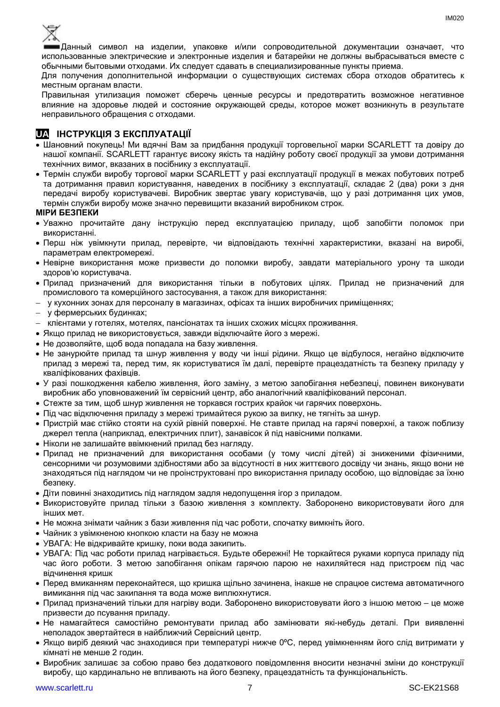

Данный символ на изделии, упаковке и/или сопроводительной документации означает, что использованные электрические и электронные изделия и батарейки не должны выбрасываться вместе с обычными бытовыми отходами. Их следует сдавать в специализированные пункты приема.

Для получения дополнительной информации о существующих системах сбора отходов обратитесь к местным органам власти.

Правильная утилизация поможет сберечь ценные ресурсы и предотвратить возможное негативное влияние на здоровье людей и состояние окружающей среды, которое может возникнуть в результате неправильного обращения с отходами.

# **UA ІНСТРУКЦІЯ З ЕКСПЛУАТАЦІЇ**

- Шановний покупець! Ми вдячні Вам за придбання продукції торговельної марки SCARLETT та довіру до нашої компанії. SCARLETT гарантує високу якість та надійну роботу своєї продукції за умови дотримання технічних вимог, вказаних в посібнику з експлуатації.
- Термін служби виробу торгової марки SCARLETT у разі експлуатації продукції в межах побутових потреб та дотримання правил користування, наведених в посібнику з експлуатації, складає 2 (два) роки з дня передачі виробу користувачеві. Виробник звертає увагу користувачів, що у разі дотримання цих умов, термін служби виробу може значно перевищити вказаний виробником строк.

### **МІРИ БЕЗПЕКИ**

- Уважно прочитайте дану інструкцію перед експлуатацією приладу, щоб запобігти поломок при використанні.
- Перш ніж увімкнути прилад, перевірте, чи відповідають технічні характеристики, вказані на виробі, параметрам електромережі.
- Невiрне використання може призвести до поломки виробу, завдати матеріального урону та шкоди здоров'ю користувача.
- Прилад призначений для використання тільки в побутових цілях. Прилад не призначений для промислового та комерційного застосування, а також для використання:
- − у кухонних зонах для персоналу в магазинах, офісах та інших виробничих приміщеннях;
- − у фермерських будинках;
- − клієнтами у готелях, мотелях, пансіонатах та інших схожих місцях проживання.
- Якщо прилад не використовується, завжди відключайте його з мережі.
- Не дозволяйте, щоб вода попадала на базу живлення.
- Не занурюйте прилад та шнур живлення у воду чи інші рідини. Якщо це відбулося, негайно відключите прилад з мережі та, перед тим, як користуватися їм далі, перевірте працездатність та безпеку приладу у кваліфікованих фахівців.
- У разі пошкодження кабелю живлення, його заміну, з метою запобігання небезпеці, повинен виконувати виробник або уповноважений їм сервісний центр, або аналогічний кваліфікований персонал.
- Стежте за тим, щоб шнур живлення не торкався гострих крайок чи гарячих поверхонь.
- Пiд час відключення приладу з мережі тримайтеся рукою за вилку, не тягніть за шнур.
- Пристрій має стійко стояти на сухій рiвній поверхні. Не ставте прилад на гарячі поверхні, а також поблизу джерел тепла (наприклад, електричних плит), занавісок й під навісними полками.
- Ніколи не залишайте ввімкнений прилад без нагляду.
- Прилад не призначений для використання особами (у тому числі дітей) зі зниженими фізичними, сенсорними чи розумовими здібностями або за відсутності в них життєвого досвіду чи знань, якщо вони не знаходяться під наглядом чи не проінструктовані про використання приладу особою, що відповідає за їхню безпеку.
- Діти повинні знаходитись під наглядом задля недопущення ігор з приладом.
- Використовуйте прилад тільки з базою живлення з комплекту. Заборонено використовувати його для iнших мет.
- Не можна знімати чайник з бази живлення пiд час роботи, спочатку вимкніть його.
- Чайник з увімкненою кнопкою класти на базу не можна
- УВАГА: Не відкривайте кришку, поки вода закипить.
- УВАГА: Під час роботи прилад нагрівається. Будьте обережні! Не торкайтеся руками корпуса приладу під час його роботи. З метою запобігання опікам гарячою парою не нахиляйтеся над пристроєм під час відчинення кришк
- Перед вмиканням переконайтеся, що кришка щільно зачинена, інакше не спрацюе система автоматичного вимикання пiд час закипання та вода може виплюхнутися.
- Прилад призначений тільки для нагріву води. Заборонено використовувати його з іншою метою це може призвести до псування приладу.
- Не намагайтеся самостійно ремонтувати прилад або замінювати які-небудь деталі. При виявленні неполадок звертайтеся в найближчий Сервісний центр.
- Якщо виріб деякий час знаходився при температурі нижче 0ºC, перед увімкненням його слід витримати у кімнаті не менше 2 годин.
- Виробник залишає за собою право без додаткового повідомлення вносити незначні зміни до конструкції виробу, що кардинально не впливають на його безпеку, працездатність та функціональність.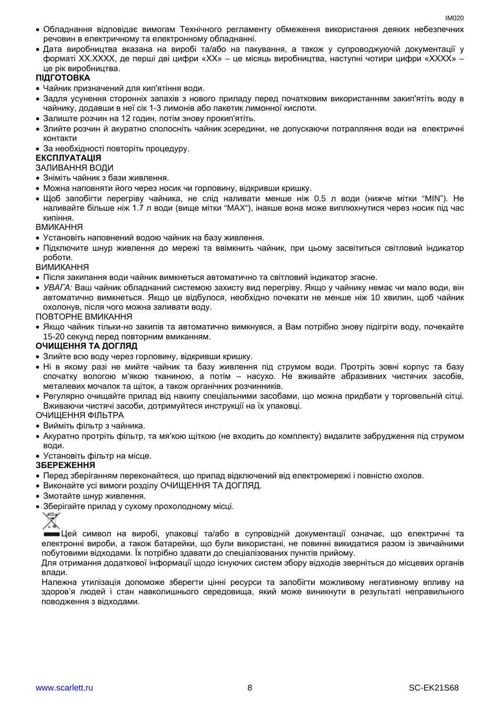- Обладнання відповідає вимогам Технічного регламенту обмеження використання деяких небезпечних речовин в електричному та електронному обладнанні.
- Дата виробництва вказана на виробі та/або на пакування, а також у супроводжуючій документації у форматі XX.XXXX, де перші дві цифри «XX» – це місяць виробництва, наступні чотири цифри «XXXX» – це рік виробництва.

### **ПІДГОТОВКА**

- Чайник призначений для кип'ятіння води.
- Задля усунення сторонніх запахів з нового приладу перед початковим використанням закип'ятіть воду в чайнику, додавши в неї сік 1-3 лимонів або пакетик лимонної кислоти.
- Залиште розчин на 12 годин, потім знову прокип'ятіть.
- Злийте розчин й акуратно сполосніть чайник зсередини, не допускаючи потрапляння води на електричні контакти
- За необхідності повторіть процедуру.

### **ЕКСПЛУАТАЦІЯ**

### ЗАЛИВАННЯ ВОДИ

- Зніміть чайник з бази живлення.
- Можна наповняти його через носик чи горловину, відкривши кришку.
- Щоб запобігти перегріву чайника, не слiд наливати менше ніж 0.5 л води (нижче мітки "MIN"). Не наливайте більше ніж 1.7 л води (вище мітки "MAX"), інакше вона може виплюхнутися через носик пiд час кипіння.

ВМИКАННЯ

- Установіть наповнений водою чайник на базу живлення.
- Підключите шнур живлення до мережі та ввімкнить чайник, при цьому засвітиться світловий індикатор роботи.

ВИМИКАННЯ

- Після закипання води чайник вимкнеться автоматично та світловий індикатор згасне.
- *УВАГА:* Ваш чайник обладнаний системою захисту вид перегріву. Якщо у чайнику немає чи мало води, він автоматично вимкнеться. Якщо це відбулося, необхідно почекати не менше ніж 10 хвилин, щоб чайник охолонув, після чого можна заливати воду.

ПОВТОРНЕ ВМИКАННЯ

• Якщо чайник тільки-но закипів та автоматично вимкнувся, а Вам потрібно знову підігріти воду, почекайте 15-20 секунд перед повторним вмиканням.

### **ОЧИЩЕННЯ ТА ДОГЛЯД**

- Злийте всю воду через горловину, відкривши кришку.
- Ні в якому разі не мийте чайник та базу живлення під струмом води. Протріть зовні корпус та базу спочатку вологою м'якою тканиною, а потім – насухо. Не вживайте абразивних чистячих засобів, металевих мочалок та щіток, а також органічних розчинників.
- Регулярно очищайте прилад від накипу спеціальними засобами, що можна придбати у торговельній сітці. Вживаючи чистячі засоби, дотримуйтеся инструкції на їх упаковці.

ОЧИЩЕННЯ ФІЛЬТРА

- Вийміть фільтр з чайника.
- Акуратно протріть фільтр, та мя'кою щіткою (не входить до комплекту) видалите забрудження під струмом води.
- Установіть фільтр на місце.

### **ЗБЕРЕЖЕННЯ**

- Перед зберіганням переконайтеся, що прилад відключений від електромережі і повністю охолов.
- Виконайте усі вимоги розділу ОЧИЩЕННЯ ТА ДОГЛЯД.
- Змотайте шнур живлення.
- Зберігайте прилад у сухому прохолодному місці.

Цей символ на виробі, упаковці та/або в супровідній документації означає, що електричні та електронні вироби, а також батарейки, що були використані, не повинні викидатися разом із звичайними побутовими відходами. Їх потрібно здавати до спеціалізованих пунктів прийому.

Для отримання додаткової інформації щодо існуючих систем збору відходів зверніться до місцевих органів влади.

Належна утилізація допоможе зберегти цінні ресурси та запобігти можливому негативному впливу на здоров'я людей і стан навколишнього середовища, який може виникнути в результаті неправильного поводження з відходами.

<sup>₩</sup>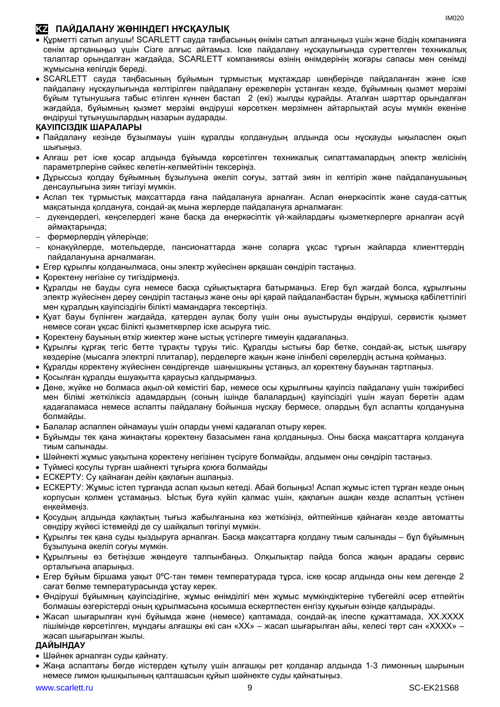# **KZ ПАЙДАЛАНУ ЖӨНІНДЕГІ НҰСҚАУЛЫҚ**

- Құрметті сатып алушы! SCARLETT сауда таңбасының өнімін сатып алғаныңыз үшін және біздің компанияға сенім артқаныңыз үшін Сізге алғыс айтамыз. Іске пайдалану нұсқаулығында суреттелген техникалық талаптар орындалған жағдайда, SCARLETT компаниясы өзінің өнімдерінің жоғары сапасы мен сенімді жұмысына кепілдік береді.
- SCARLETT сауда таңбасының бұйымын тұрмыстық мұқтаждар шеңберінде пайдаланған және іске пайдалану нұсқаулығында келтірілген пайдалану ережелерін ұстанған кезде, бұйымның қызмет мерзімі бұйым тұтынушыға табыс етілген күннен бастап 2 (екі) жылды құрайды. Аталған шарттар орындалған жағдайда, бұйымның қызмет мерзімі өндіруші көрсеткен мерзімнен айтарлықтай асуы мүмкін екеніне өндіруші тұтынушылардың назарын аударады.

# **ҚАУІПСІЗДІК ШАРАЛАРЫ**

- Пайдалану кезінде бұзылмауы үшін құралды қолданудың алдында осы нұсқауды ықыласпен оқып шығыңыз.
- Алғаш рет іске қосар алдында бұйымда көрсетілген техникалық сипаттамалардың электр желісінің параметрлеріне сәйкес келетін-келмейтінін тексеріңіз.
- Дұрыссыз қолдау бұйымның бұзылуына әкеліп соғуы, заттай зиян іп келтіріп және пайдаланушының денсаулығына зиян тигізуі мүмкін.
- Аспап тек тұрмыстық мақсаттарда ғана пайдалануға арналған. Аспап өнеркәсіптік және сауда-саттық мақсатында қолдануға, сондай-ақ мына жерлерде пайдалануға арналмаған:
- − дүкендердегі, кеңселердегі және басқа да өнеркәсіптік үй-жайлардағы қызметкерлерге арналған асүй аймақтарында;
- − фермерлердің үйлерінде;
- − қонақүйлерде, мотельдерде, пансионаттарда және соларға ұқсас тұрғын жайларда клиенттердің пайдалануына арналмаған.
- Егер құрылғы қолданылмаса, оны электр жүйесінен әрқашан сөндіріп тастаңыз.
- Қоректену негізіне су тигіздірмеңіз.
- Құралды не бауды суға немесе басқа сұйықтықтарға батырмаңыз. Егер бұл жағдай болса, құрылғыны электр жүйесінен дереу сөндіріп тастаңыз және оны әрі қарай пайдаланбастан бұрын, жұмысқа қабілеттілігі мен құралдың қауіпсіздігін білікті мамандарға тексертіңіз.
- Қуат бауы бүлінген жағдайда, қатерден аулақ болу үшін оны ауыстыруды өндіруші, сервистік қызмет немесе соған ұқсас білікті қызметкерлер іске асыруға тиіс.
- Қоректену бауының өткір жиектер және ыстық үстілерге тимеуін қадағалаңыз.
- Құрылғы құрғақ тегіс бетте тұрақты тұруы тиіс. Құралды ыстығы бар бетке, сондай-ақ, ыстық шығару көздеріне (мысалға электрлі плиталар), перделерге жақын және ілінбелі сөрелердің астына қоймаңыз.
- Құралды қоректену жүйесінен сөндіргенде шаңышқыны ұстаңыз, ал қоректену бауынан тартпаңыз.
- Қосылған құралды ешуақытта қараусыз қалдырмаңыз.
- Дене, жүйке не болмаса ақыл-ой кемістігі бар, немесе осы құрылғыны қауіпсіз пайдалану үшін тәжірибесі мен білімі жеткіліксіз адамдардың (соның ішінде балалардың) қауіпсіздігі үшін жауап беретін адам қадағаламаса немесе аспапты пайдалану бойынша нұсқау бермесе, олардың бұл аспапты қолдануына болмайды.
- Балалар аспаппен ойнамауы үшін оларды үнемі қадағалап отыру керек.
- Бұйымды тек қана жинақтағы қоректену базасымен ғана қолданыңыз. Оны басқа мақсаттарға қолдануға тиым салынады.
- Шәйнекті жұмыс уақытына қоректену негізінен түсіруге болмайды, алдымен оны сөндіріп тастаңыз.
- Түймесі қосулы түрған шайнекті тұғырға қоюға болмайды
- ЕСКЕРТУ: Су қайнаған дейін қақпағын ашпаңыз.
- ЕСКЕРТУ: Жұмыс істеп тұрғанда аспап қызып кетеді. Абай болыңыз! Аспап жұмыс істеп тұрған кезде оның корпусын қолмен ұстамаңыз. Ыстық буға күйіп қалмас үшін, қақпағын ашқан кезде аспаптың үстінен еңкеймеңіз.
- Қосудың алдында қақпақтың тығыз жабылғанына көз жеткізіңіз, өйтпейінше қайнаған кезде автоматты сөндіру жүйесі істемейді де су шайқалып төгілуі мүмкін.
- Құрылғы тек қана суды қыздыруға арналған. Басқа мақсаттарға қолдану тиым салынады бұл бұйымның бұзылуына әкеліп соғуы мүмкін.
- Құрылғыны өз бетіңізше жөндеуге талпынбаңыз. Олқылықтар пайда болса жақын арадағы сервис орталығына апарыңыз.
- Егер бұйым біршама уақыт 0ºC-тан төмен температурада тұрса, іске қосар алдында оны кем дегенде 2 сағат бөлме температурасында ұстау керек.
- Өндіруші бұйымның қауіпсіздігіне, жұмыс өнімділігі мен жұмыс мүмкіндіктеріне түбегейлі әсер етпейтін болмашы өзгерістерді оның құрылмасына қосымша ескертпестен енгізу құқығын өзінде қалдырады.
- Жасап шығарылған күні бұйымда және (немесе) қаптамада, сондай-ақ ілеспе құжаттамада, XX.XXXX пішімінде көрсетілген, мұндағы алғашқы екі сан «XX» – жасап шығарылған айы, келесі төрт сан «XXXX» – жасап шығарылған жылы.

### **ДАЙЫНДАУ**

- Шәйнек арналған суды қайнату.
- Жаңа аспаптағы бөгде иістерден құтылу үшін алғашқы рет қолданар алдында 1-3 лимонның шырынын немесе лимон қышқылының қалташасын құйып шәйнекте суды қайнатыңыз.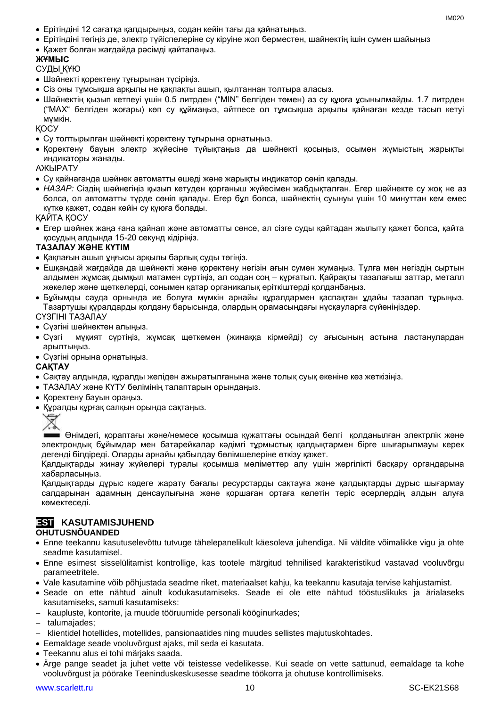- Ерітіндіні 12 сағатқа қалдырыңыз, содан кейін тағы да қайнатыңыз.
- Ерітіндіні төгіңіз де, электр түйіспелеріне су кіруіне жол берместен, шайнектің ішін сумен шайыңыз
- Қажет болған жағдайда рәсімді қайталаңыз.

# **ЖҰМЫС**

# СУДЫ ҚҰЮ

- Шәйнекті қоректену тұғырынан түсіріңіз.
- Сіз оны тұмсықша арқылы не қақпақты ашып, қылтаннан толтыра алаcыз.
- Шәйнектің қызып кетпеуі үшін 0.5 литрден ("MIN" белгіден төмен) аз су құюға ұсынылмайды. 1.7 литрден ("MAX" белгіден жоғары) көп су құймаңыз, әйтпесе ол тұмсықша арқылы қайнаған кезде тасып кетуі мүмкін.

ҚОСУ

- Су толтырылған шәйнекті қоректену тұғырына орнатыңыз.
- Қоректену бауын электр жүйесіне тұйықтаңыз да шәйнекті қосыңыз, осымен жұмыстың жарықты индикаторы жанады.

АЖЫРАТУ

- Су қайнағанда шәйнек автоматты өшеді және жарықты индикатор сөніп қалады.
- *НАЗАР:* Сіздің шәйнегіңіз қызып кетуден қорғаныш жүйесімен жабдықталған. Егер шәйнекте су жоқ не аз болса, ол автоматты түрде сөніп қалады. Егер бұл болса, шәйнектің суынуы үшін 10 минуттан кем емес күтке қажет, содан кейін су құюға болады.

ҚАЙТА ҚОСУ

• Егер шәйнек жаңа ғана қайнап және автоматты сөнсе, ал сізге суды қайтадан жылыту қажет болса, қайта қосудың алдында 15-20 секунд кідіріңіз.

### **ТАЗАЛАУ ЖӘНЕ КҮТІМ**

- Қақпағын ашып ұңғысы арқылы барлық суды төгіңіз.
- Ешқандай жағдайда да шәйнекті және қоректену негізін ағын сумен жумаңыз. Тұлға мен негіздің сыртын алдымен жұмсақ дымқыл матамен сүртіңіз, ал содан соң – құрғатып. Қайрақты тазалағыш заттар, металл жөкелер және щөткелерді, сонымен қатар органикалық еріткіштерді қолданбаңыз.
- Бұйымды сауда орнында ие болуға мүмкін арнайы құралдармен қаспақтан ұдайы тазалап тұрыңыз. Тазартушы құралдарды қолдану барысында, олардың орамасындағы нұсқауларға сүйеніңіздер.

СҮЗГІНІ ТАЗАЛАУ

- Сүзгіні шәйнектен алыңыз.
- Сүзгі мұқият сүртіңіз, жұмсақ щөткемен (жинаққа кірмейді) су ағысының астына ластанулардан арылтыңыз.
- Сүзгіні орнына орнатыңыз.

**САҚТАУ**

- Cақтау алдында, құралды желіден ажыратылғанына және толық суық екеніне көз жеткізіңіз.
- ТАЗАЛАУ және КҮТУ бөлімінің талаптарын орындаңыз.
- Қоректену бауын ораңыз.
- Құралды құрғақ салқын орында сақтаңыз.



Өнімдегі, қораптағы және/немесе қосымша құжаттағы осындай белгі қолданылған электрлік және электрондық бұйымдар мен батарейкалар кәдімгі тұрмыстық қалдықтармен бірге шығарылмауы керек дегенді білдіреді. Оларды арнайы қабылдау бөлімшелеріне өткізу қажет.

Қалдықтарды жинау жүйелері туралы қосымша мәліметтер алу үшін жергілікті басқару органдарына хабарласыңыз.

Қалдықтарды дұрыс кәдеге жарату бағалы ресурстарды сақтауға және қалдықтарды дұрыс шығармау салдарынан адамның денсаулығына және қоршаған ортаға келетін теріс әсерлердің алдын алуға көмектеседі.

# **EST KASUTAMISJUHEND**

# **OHUTUSNÕUANDED**

- Enne teekannu kasutuselevõttu tutvuge tähelepanelikult käesoleva juhendiga. Nii väldite võimalikke vigu ja ohte seadme kasutamisel.
- Enne esimest sisselülitamist kontrollige, kas tootele märgitud tehnilised karakteristikud vastavad vooluvõrgu parameetritele.
- Vale kasutamine võib põhjustada seadme riket, materiaalset kahju, ka teekannu kasutaja tervise kahjustamist.
- Seade on ette nähtud ainult kodukasutamiseks. Seade ei ole ette nähtud tööstuslikuks ja ärialaseks kasutamiseks, samuti kasutamiseks:
- − kaupluste, kontorite, ja muude tööruumide personali kööginurkades;

− talumajades;

- − klientidel hotellides, motellides, pansionaatides ning muudes sellistes majutuskohtades.
- Eemaldage seade vooluvõrgust ajaks, mil seda ei kasutata.
- Teekannu alus ei tohi märjaks saada.
- Ärge pange seadet ja juhet vette või teistesse vedelikesse. Kui seade on vette sattunud, eemaldage ta kohe vooluvõrgust ja pöörake Teeninduskeskusesse seadme töökorra ja ohutuse kontrollimiseks.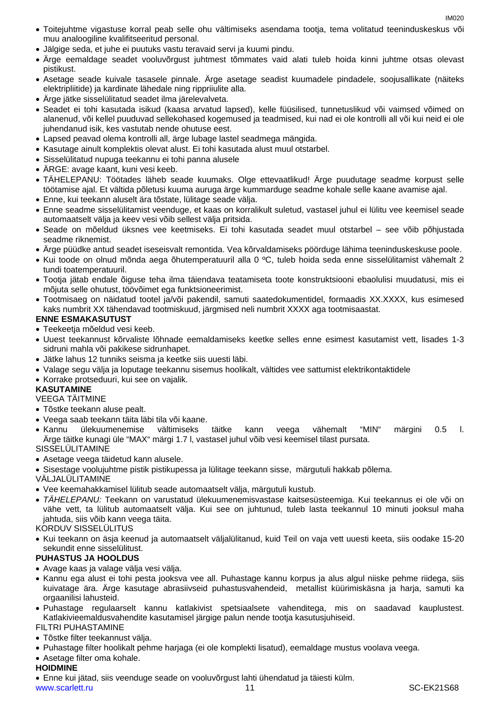- Toitejuhtme vigastuse korral peab selle ohu vältimiseks asendama tootja, tema volitatud teeninduskeskus või muu analoogiline kvalifitseeritud personal.
- Jälgige seda, et juhe ei puutuks vastu teravaid servi ja kuumi pindu.
- Ärge eemaldage seadet vooluvõrgust juhtmest tõmmates vaid alati tuleb hoida kinni juhtme otsas olevast pistikust.
- Asetage seade kuivale tasasele pinnale. Ärge asetage seadist kuumadele pindadele, soojusallikate (näiteks elektripliitide) ja kardinate lähedale ning rippriiulite alla.
- Ärge jätke sisselülitatud seadet ilma järelevalveta.
- Seadet ei tohi kasutada isikud (kaasa arvatud lapsed), kelle füüsilised, tunnetuslikud või vaimsed võimed on alanenud, või kellel puuduvad sellekohased kogemused ja teadmised, kui nad ei ole kontrolli all või kui neid ei ole juhendanud isik, kes vastutab nende ohutuse eest.
- Lapsed peavad olema kontrolli all, ärge lubage lastel seadmega mängida.
- Kasutage ainult komplektis olevat alust. Ei tohi kasutada alust muul otstarbel.
- Sisselülitatud nupuga teekannu ei tohi panna alusele
- ÄRGE: avage kaant, kuni vesi keeb.
- TÄHELEPANU: Töötades läheb seade kuumaks. Olge ettevaatlikud! Ärge puudutage seadme korpust selle töötamise ajal. Et vältida põletusi kuuma auruga ärge kummarduge seadme kohale selle kaane avamise ajal.
- Enne, kui teekann aluselt ära tõstate, lülitage seade välja.
- Enne seadme sisselülitamist veenduge, et kaas on korralikult suletud, vastasel juhul ei lülitu vee keemisel seade automaatselt välja ja keev vesi võib sellest välja pritsida.
- Seade on mõeldud üksnes vee keetmiseks. Ei tohi kasutada seadet muul otstarbel see võib põhjustada seadme riknemist.
- Ärge püüdke antud seadet iseseisvalt remontida. Vea kõrvaldamiseks pöörduge lähima teeninduskeskuse poole.
- Kui toode on olnud mõnda aega õhutemperatuuril alla 0 ºC, tuleb hoida seda enne sisselülitamist vähemalt 2 tundi toatemperatuuril.
- Tootja jätab endale õiguse teha ilma täiendava teatamiseta toote konstruktsiooni ebaolulisi muudatusi, mis ei mõjuta selle ohutust, töövõimet ega funktsioneerimist.
- Tootmisaeg on näidatud tootel ja/või pakendil, samuti saatedokumentidel, formaadis XX.XXXX, kus esimesed kaks numbrit XX tähendavad tootmiskuud, järgmised neli numbrit XXXX aga tootmisaastat.

### **ENNE ESMAKASUTUST**

- Teekeetja mõeldud vesi keeb.
- Uuest teekannust kõrvaliste lõhnade eemaldamiseks keetke selles enne esimest kasutamist vett, lisades 1-3 sidruni mahla või pakikese sidrunhapet.
- Jätke lahus 12 tunniks seisma ja keetke siis uuesti läbi.
- Valage segu välja ja loputage teekannu sisemus hoolikalt, vältides vee sattumist elektrikontaktidele
- Korrake protseduuri, kui see on vajalik.

# **KASUTAMINE**

VEEGA TÄITMINE

- Tõstke teekann aluse pealt.
- Veega saab teekann täita läbi tila või kaane.
- Kannu ülekuumenemise vältimiseks täitke kann veega vähemalt "MIN" märgini 0.5 l. Ärge täitke kunagi üle "MAX" märgi 1.7 l, vastasel juhul võib vesi keemisel tilast pursata.

SISSELÜLITAMINE

- Asetage veega täidetud kann alusele.
- Sisestage voolujuhtme pistik pistikupessa ja lülitage teekann sisse, märgutuli hakkab põlema.

VÄLJALÜLITAMINE

- Vee keemahakkamisel lülitub seade automaatselt välja, märgutuli kustub.
- *TÄHELEPANU:* Teekann on varustatud ülekuumenemisvastase kaitsesüsteemiga. Kui teekannus ei ole või on vähe vett, ta lülitub automaatselt välja. Kui see on juhtunud, tuleb lasta teekannul 10 minuti jooksul maha jahtuda, siis võib kann veega täita.

KORDUV SISSELÜLITUS

• Kui teekann on äsja keenud ja automaatselt väljalülitanud, kuid Teil on vaja vett uuesti keeta, siis oodake 15-20 sekundit enne sisselülitust.

# **PUHASTUS JA HOOLDUS**

- Avage kaas ja valage välja vesi välja.
- Kannu ega alust ei tohi pesta jooksva vee all. Puhastage kannu korpus ja alus algul niiske pehme riidega, siis kuivatage ära. Ärge kasutage abrasiivseid puhastusvahendeid, metallist küürimiskäsna ja harja, samuti ka orgaanilisi lahusteid.
- Puhastage regulaarselt kannu katlakivist spetsiaalsete vahenditega, mis on saadavad kauplustest. Katlakivieemaldusvahendite kasutamisel järgige palun nende tootja kasutusjuhiseid.

FILTRI PUHASTAMINE

- Tõstke filter teekannust välja.
- Puhastage filter hoolikalt pehme harjaga (ei ole komplekti lisatud), eemaldage mustus voolava veega.
- Asetage filter oma kohale.

### **HOIDMINE**

www.scarlett.ru 11 SC-EK21S68 • Enne kui jätad, siis veenduge seade on vooluvõrgust lahti ühendatud ja täiesti külm.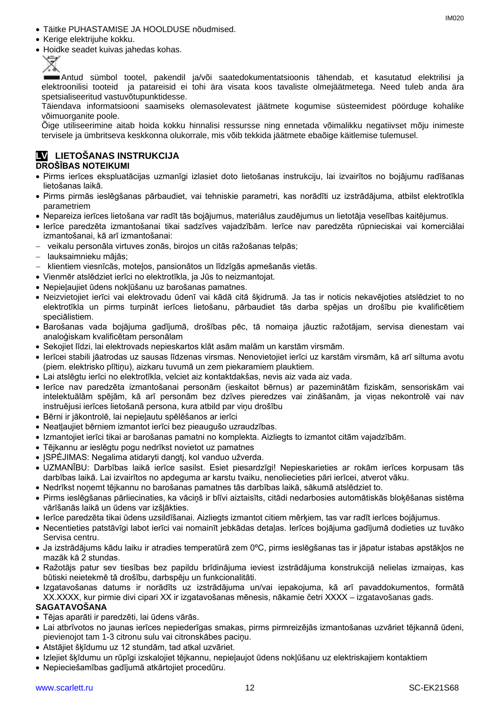- Täitke PUHASTAMISE JA HOOLDUSE nõudmised.
- Kerige elektrijuhe kokku.
- Hoidke seadet kuivas jahedas kohas.



Antud sümbol tootel, pakendil ja/või saatedokumentatsioonis tähendab, et kasutatud elektrilisi ja elektroonilisi tooteid ja patareisid ei tohi ära visata koos tavaliste olmejäätmetega. Need tuleb anda ära spetsialiseeritud vastuvõtupunktidesse.

Täiendava informatsiooni saamiseks olemasolevatest jäätmete kogumise süsteemidest pöörduge kohalike võimuorganite poole.

Õige utiliseerimine aitab hoida kokku hinnalisi ressursse ning ennetada võimalikku negatiivset mõju inimeste tervisele ja ümbritseva keskkonna olukorrale, mis võib tekkida jäätmete ebaõige käitlemise tulemusel.

# **LV LIETOŠANAS INSTRUKCIJA**

# **DROŠĪBAS NOTEIKUMI**

- Pirms ierīces ekspluatācijas uzmanīgi izlasiet doto lietošanas instrukciju, lai izvairītos no bojājumu radīšanas lietošanas laikā.
- Pirms pirmās ieslēgšanas pārbaudiet, vai tehniskie parametri, kas norādīti uz izstrādājuma, atbilst elektrotīkla parametriem
- Nepareiza ierīces lietošana var radīt tās bojājumus, materiālus zaudējumus un lietotāja veselības kaitējumus.
- Ierīce paredzēta izmantošanai tikai sadzīves vajadzībām. Ierīce nav paredzēta rūpnieciskai vai komerciālai izmantošanai, kā arī izmantošanai:
- − veikalu personāla virtuves zonās, birojos un citās ražošanas telpās;
- − lauksaimnieku mājās;
- − klientiem viesnīcās, moteļos, pansionātos un līdzīgās apmešanās vietās.
- Vienmēr atslēdziet ierīci no elektrotīkla, ja Jūs to neizmantojat.
- Nepieļaujiet ūdens nokļūšanu uz barošanas pamatnes.
- Neizvietojiet ierīci vai elektrovadu ūdenī vai kādā citā šķidrumā. Ja tas ir noticis nekavējoties atslēdziet to no elektrotīkla un pirms turpināt ierīces lietošanu, pārbaudiet tās darba spējas un drošību pie kvalificētiem speciālistiem.
- Barošanas vada bojājuma gadījumā, drošības pēc, tā nomaiņa jāuztic ražotājam, servisa dienestam vai analoģiskam kvalificētam personālam
- Sekojiet līdzi, lai elektrovads nepieskartos klāt asām malām un karstām virsmām.
- Ierīcei stabili jāatrodas uz sausas līdzenas virsmas. Nenovietojiet ierīci uz karstām virsmām, kā arī siltuma avotu (piem. elektrisko plītiņu), aizkaru tuvumā un zem piekaramiem plauktiem.
- Lai atslēgtu ierīci no elektrotīkla, velciet aiz kontaktdakšas, nevis aiz vada aiz vada.
- Ierīce nav paredzēta izmantošanai personām (ieskaitot bērnus) ar pazeminātām fiziskām, sensoriskām vai intelektuālām spējām, kā arī personām bez dzīves pieredzes vai zināšanām, ja viņas nekontrolē vai nav instruējusi ierīces lietošanā persona, kura atbild par viņu drošību
- Bērni ir jākontrolē, lai nepieļautu spēlēšanos ar ierīci
- Neatļaujiet bērniem izmantot ierīci bez pieaugušo uzraudzības.
- Izmantojiet ierīci tikai ar barošanas pamatni no komplekta. Aizliegts to izmantot citām vajadzībām.
- Tējkannu ar ieslēgtu pogu nedrīkst novietot uz pamatnes
- ISPĖJIMAS: Negalima atidaryti dangti, kol vanduo užverda.
- UZMANĪBU: Darbības laikā ierīce sasilst. Esiet piesardzīgi! Nepieskarieties ar rokām ierīces korpusam tās darbības laikā. Lai izvairītos no apdeguma ar karstu tvaiku, nenoliecieties pāri ierīcei, atverot vāku.
- Nedrīkst noņemt tējkannu no barošanas pamatnes tās darbības laikā, sākumā atslēdziet to.
- Pirms ieslēgšanas pārliecinaties, ka vāciņš ir blīvi aiztaisīts, citādi nedarbosies automātiskās bloķēšanas sistēma vārīšanās laikā un ūdens var izšļākties.
- Ierīce paredzēta tikai ūdens uzsildīšanai. Aizliegts izmantot citiem mērķiem, tas var radīt ierīces bojājumus.
- Necentieties patstāvīgi labot ierīci vai nomainīt jebkādas detaļas. Ierīces bojājuma gadījumā dodieties uz tuvāko Servisa centru.
- Ja izstrādājums kādu laiku ir atradies temperatūrā zem 0ºC, pirms ieslēgšanas tas ir jāpatur istabas apstākļos ne mazāk kā 2 stundas.
- Ražotājs patur sev tiesības bez papildu brīdinājuma ieviest izstrādājuma konstrukcijā nelielas izmaiņas, kas būtiski neietekmē tā drošību, darbspēju un funkcionalitāti.
- Izgatavošanas datums ir norādīts uz izstrādājuma un/vai iepakojuma, kā arī pavaddokumentos, formātā XX.XXXX, kur pirmie divi cipari XX ir izgatavošanas mēnesis, nākamie četri XXXX – izgatavošanas gads.

### **SAGATAVOŠANA**

- Tējas aparāti ir paredzēti, lai ūdens vārās.
- Lai atbrīvotos no jaunas ierīces nepiederīgas smakas, pirms pirmreizējās izmantošanas uzvāriet tējkannā ūdeni, pievienojot tam 1-3 citronu sulu vai citronskābes paciņu.
- Atstājiet šķīdumu uz 12 stundām, tad atkal uzvāriet.
- Izlejiet šķīdumu un rūpīgi izskalojiet tējkannu, nepieļaujot ūdens nokļūšanu uz elektriskajiem kontaktiem
- Nepieciešamības gadījumā atkārtojiet procedūru.

IM020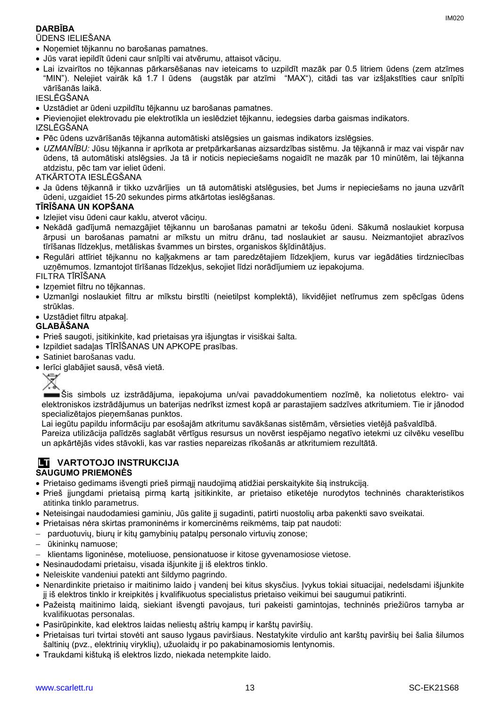# **DARBĪBA**

### ŪDENS IELIEŠANA

- Noņemiet tējkannu no barošanas pamatnes.
- Jūs varat iepildīt ūdeni caur snīpīti vai atvērumu, attaisot vāciņu.
- Lai izvairītos no tējkannas pārkarsēšanas nav ieteicams to uzpildīt mazāk par 0.5 litriem ūdens (zem atzīmes "MIN"). Nelejiet vairāk kā 1.7 l ūdens (augstāk par atzīmi "MAX"), citādi tas var izšļakstīties caur snīpīti vārīšanās laikā.

IESLĒGŠANA

• Uzstādiet ar ūdeni uzpildītu tējkannu uz barošanas pamatnes.

• Pievienojiet elektrovadu pie elektrotīkla un ieslēdziet tējkannu, iedegsies darba gaismas indikators.

IZSLĒGŠANA

- Pēc ūdens uzvārīšanās tējkanna automātiski atslēgsies un gaismas indikators izslēgsies.
- *UZMANĪBU:* Jūsu tējkanna ir aprīkota ar pretpārkaršanas aizsardzības sistēmu. Ja tējkannā ir maz vai vispār nav ūdens, tā automātiski atslēgsies. Ja tā ir noticis nepieciešams nogaidīt ne mazāk par 10 minūtēm, lai tējkanna atdzistu, pēc tam var ieliet ūdeni.
- ATKĀRTOTA IESLĒGŠANA
- Ja ūdens tējkannā ir tikko uzvārījies un tā automātiski atslēgusies, bet Jums ir nepieciešams no jauna uzvārīt ūdeni, uzgaidiet 15-20 sekundes pirms atkārtotas ieslēgšanas.

# **TĪRĪŠANA UN KOPŠANA**

- Izlejiet visu ūdeni caur kaklu, atverot vāciņu.
- Nekādā gadījumā nemazgājiet tējkannu un barošanas pamatni ar tekošu ūdeni. Sākumā noslaukiet korpusa ārpusi un barošanas pamatni ar mīkstu un mitru drānu, tad noslaukiet ar sausu. Neizmantojiet abrazīvos tīrīšanas līdzekļus, metāliskas švammes un birstes, organiskos šķīdinātājus.
- Regulāri attīriet tējkannu no kaļķakmens ar tam paredzētajiem līdzekļiem, kurus var iegādāties tirdzniecības uzņēmumos. Izmantojot tīrīšanas līdzekļus, sekojiet līdzi norādījumiem uz iepakojuma.

FILTRA TĪRĪŠANA

- Izņemiet filtru no tējkannas.
- Uzmanīgi noslaukiet filtru ar mīkstu birstīti (neietilpst komplektā), likvidējiet netīrumus zem spēcīgas ūdens strūklas.
- Uzstādiet filtru atpakaļ.

### **GLABĀŠANA**

- Prieš saugoti, įsitikinkite, kad prietaisas yra išjungtas ir visiškai šalta.
- Izpildiet sadaļas TĪRĪŠANAS UN APKOPE prasības.
- Satiniet barošanas vadu.
- Ierīci glabājiet sausā, vēsā vietā.



Šis simbols uz izstrādājuma, iepakojuma un/vai pavaddokumentiem nozīmē, ka nolietotus elektro- vai elektroniskos izstrādājumus un baterijas nedrīkst izmest kopā ar parastajiem sadzīves atkritumiem. Tie ir jānodod specializētajos pieņemšanas punktos.

Lai iegūtu papildu informāciju par esošajām atkritumu savākšanas sistēmām, vērsieties vietējā pašvaldībā.

Pareiza utilizācija palīdzēs saglabāt vērtīgus resursus un novērst iespējamo negatīvo ietekmi uz cilvēku veselību un apkārtējās vides stāvokli, kas var rasties nepareizas rīkošanās ar atkritumiem rezultātā.

# **LT VARTOTOJO INSTRUKCIJA**

# **SAUGUMO PRIEMONĖS**

- Prietaiso gedimams išvengti prieš pirmąjį naudojimą atidžiai perskaitykite šią instrukciją.
- Prieš įjungdami prietaisą pirmą kartą įsitikinkite, ar prietaiso etiketėje nurodytos techninės charakteristikos atitinka tinklo parametrus.
- Neteisingai naudodamiesi gaminiu, Jūs galite jį sugadinti, patirti nuostolių arba pakenkti savo sveikatai.
- Prietaisas nėra skirtas pramoninėms ir komercinėms reikmėms, taip pat naudoti:
- − parduotuvių, biurų ir kitų gamybinių patalpų personalo virtuvių zonose;
- − ūkininkų namuose;
- − klientams ligoninėse, moteliuose, pensionatuose ir kitose gyvenamosiose vietose.
- Nesinaudodami prietaisu, visada išjunkite jį iš elektros tinklo.
- Neleiskite vandeniui patekti ant šildymo pagrindo.
- Nenardinkite prietaiso ir maitinimo laido į vandenį bei kitus skysčius. Įvykus tokiai situacijai, nedelsdami išjunkite jį iš elektros tinklo ir kreipkitės į kvalifikuotus specialistus prietaiso veikimui bei saugumui patikrinti.
- Pažeistą maitinimo laidą, siekiant išvengti pavojaus, turi pakeisti gamintojas, techninės priežiūros tarnyba ar kvalifikuotas personalas.
- Pasirūpinkite, kad elektros laidas neliestų aštrių kampų ir karštų paviršių.
- Prietaisas turi tvirtai stovėti ant sauso lygaus paviršiaus. Nestatykite virdulio ant karštų paviršių bei šalia šilumos šaltinių (pvz., elektrinių viryklių), užuolaidų ir po pakabinamosiomis lentynomis.
- Traukdami kištuką iš elektros lizdo, niekada netempkite laido.

IM020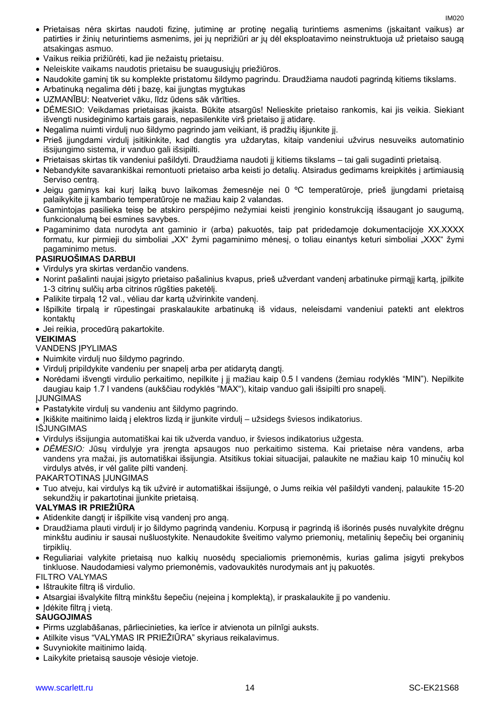- Prietaisas nėra skirtas naudoti fizinę, jutiminę ar protinę negalią turintiems asmenims (įskaitant vaikus) ar patirties ir žinių neturintiems asmenims, jei jų neprižiūri ar jų dėl eksploatavimo neinstruktuoja už prietaiso saugą atsakingas asmuo.
- Vaikus reikia prižiūrėti, kad jie nežaistų prietaisu.
- Neleiskite vaikams naudotis prietaisu be suaugusiųjų priežiūros.
- Naudokite gaminį tik su komplekte pristatomu šildymo pagrindu. Draudžiama naudoti pagrindą kitiems tikslams.
- Arbatinuką negalima dėti į bazę, kai įjungtas mygtukas
- UZMANĪBU: Neatveriet vāku, līdz ūdens sāk vārīties.
- DĖMESIO: Veikdamas prietaisas įkaista. Būkite atsargūs! Nelieskite prietaiso rankomis, kai jis veikia. Siekiant išvengti nusideginimo kartais garais, nepasilenkite virš prietaiso jį atidarę.
- Negalima nuimti virdulį nuo šildymo pagrindo jam veikiant, iš pradžių išjunkite jį.
- Prieš įjungdami virdulį įsitikinkite, kad dangtis yra uždarytas, kitaip vandeniui užvirus nesuveiks automatinio išsijungimo sistema, ir vanduo gali išsipilti.
- Prietaisas skirtas tik vandeniui pašildyti. Draudžiama naudoti jį kitiems tikslams tai gali sugadinti prietaisą.
- Nebandykite savarankiškai remontuoti prietaiso arba keisti jo detalių. Atsiradus gedimams kreipkitės į artimiausią Serviso centrą.
- Jeigu gaminys kai kurį laiką buvo laikomas žemesnėje nei 0 ºC temperatūroje, prieš įjungdami prietaisą palaikykite jį kambario temperatūroje ne mažiau kaip 2 valandas.
- Gamintojas pasilieka teisę be atskiro perspėjimo nežymiai keisti įrenginio konstrukciją išsaugant jo saugumą, funkcionalumą bei esmines savybes.
- Pagaminimo data nurodyta ant gaminio ir (arba) pakuotės, taip pat pridedamoje dokumentacijoje XX.XXXX formatu, kur pirmieji du simboliai "XX" žymi pagaminimo mėnesį, o toliau einantys keturi simboliai "XXX" žymi pagaminimo metus.

### **PASIRUOŠIMAS DARBUI**

- Virdulys yra skirtas verdančio vandens.
- Norint pašalinti naujai įsigyto prietaiso pašalinius kvapus, prieš užverdant vandenį arbatinuke pirmąjį kartą, įpilkite 1-3 citrinų sulčių arba citrinos rūgšties paketėlį.
- Palikite tirpalą 12 val., vėliau dar kartą užvirinkite vandenį.
- Išpilkite tirpalą ir rūpestingai praskalaukite arbatinuką iš vidaus, neleisdami vandeniui patekti ant elektros kontaktų
- Jei reikia, procedūrą pakartokite.

### **VEIKIMAS**

### VANDENS ĮPYLIMAS

- Nuimkite virdulį nuo šildymo pagrindo.
- Virdulį pripildykite vandeniu per snapelį arba per atidarytą dangtį.
- Norėdami išvengti virdulio perkaitimo, nepilkite į jį mažiau kaip 0.5 l vandens (žemiau rodyklės "MIN"). Nepilkite daugiau kaip 1.7 l vandens (aukščiau rodyklės "MAX"), kitaip vanduo gali išsipilti pro snapelį. ĮJUNGIMAS
- Pastatykite virdulį su vandeniu ant šildymo pagrindo.
- Įkiškite maitinimo laidą į elektros lizdą ir įjunkite virdulį užsidegs šviesos indikatorius.

### IŠJUNGIMAS

- Virdulys išsijungia automatiškai kai tik užverda vanduo, ir šviesos indikatorius užgesta.
- *DĖMESIO:* Jūsų virdulyje yra įrengta apsaugos nuo perkaitimo sistema. Kai prietaise nėra vandens, arba vandens yra mažai, jis automatiškai išsijungia. Atsitikus tokiai situacijai, palaukite ne mažiau kaip 10 minučių kol virdulys atvės, ir vėl galite pilti vandenį.

PAKARTOTINAS ĮJUNGIMAS

• Tuo atveju, kai virdulys ką tik užvirė ir automatiškai išsijungė, o Jums reikia vėl pašildyti vandenį, palaukite 15-20 sekundžių ir pakartotinai įjunkite prietaisą.

### **VALYMAS IR PRIEŽIŪRA**

- Atidenkite dangtį ir išpilkite visą vandenį pro angą.
- Draudžiama plauti virdulį ir jo šildymo pagrindą vandeniu. Korpusą ir pagrindą iš išorinės pusės nuvalykite drėgnu minkštu audiniu ir sausai nušluostykite. Nenaudokite šveitimo valymo priemonių, metalinių šepečių bei organinių tirpiklių.
- Reguliariai valykite prietaisą nuo kalkių nuosėdų specialiomis priemonėmis, kurias galima įsigyti prekybos tinkluose. Naudodamiesi valymo priemonėmis, vadovaukitės nurodymais ant jų pakuotės. FILTRO VALYMAS
- Ištraukite filtrą iš virdulio.
- Atsargiai išvalykite filtrą minkštu šepečiu (neįeina į komplektą), ir praskalaukite jį po vandeniu.
- Įdėkite filtrą į vietą.

### **SAUGOJIMAS**

- Pirms uzglabāšanas, pārliecinieties, ka ierīce ir atvienota un pilnīgi auksts.
- Atilkite visus "VALYMAS IR PRIEŽIŪRA" skyriaus reikalavimus.
- Suvyniokite maitinimo laidą.
- Laikykite prietaisą sausoje vėsioje vietoje.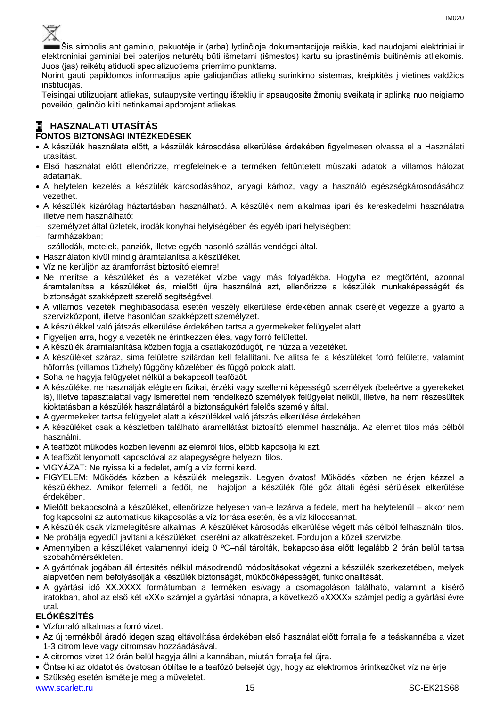

Šis simbolis ant gaminio, pakuotėje ir (arba) lydinčioje dokumentacijoje reiškia, kad naudojami elektriniai ir elektroniniai gaminiai bei baterijos neturėtų būti išmetami (išmestos) kartu su įprastinėmis buitinėmis atliekomis. Juos (jas) reikėtų atiduoti specializuotiems priėmimo punktams.

Norint gauti papildomos informacijos apie galiojančias atliekų surinkimo sistemas, kreipkitės į vietines valdžios institucijas.

Teisingai utilizuojant atliekas, sutaupysite vertingų išteklių ir apsaugosite žmonių sveikatą ir aplinką nuo neigiamo poveikio, galinčio kilti netinkamai apdorojant atliekas.

### **H HASZNALATI UTASÍTÁS FONTOS BIZTONSÁGI INTÉZKEDÉSEK**

- A készülék használata előtt, a készülék károsodása elkerülése érdekében figyelmesen olvassa el a Használati utasítást.
- Első használat előtt ellenőrizze, megfelelnek-e a terméken feltüntetett műszaki adatok a villamos hálózat adatainak.
- A helytelen kezelés a készülék károsodásához, anyagi kárhoz, vagy a használó egészségkárosodásához vezethet.
- A készülék kizárólag háztartásban használható. A készülék nem alkalmas ipari és kereskedelmi használatra illetve nem használható:
- személyzet által üzletek, irodák konyhai helyiségében és egyéb ipari helyiségben;
- − farmházakban;
- − szállodák, motelek, panziók, illetve egyéb hasonló szállás vendégei által.
- Használaton kívül mindig áramtalanítsa a készüléket.
- Víz ne kerüljön az áramforrást biztosító elemre!
- Ne merítse a készüléket és a vezetéket vízbe vagy más folyadékba. Hogyha ez megtörtént, azonnal áramtalanítsa a készüléket és, mielőtt újra használná azt, ellenőrizze a készülék munkaképességét és biztonságát szakképzett szerelő segítségével.
- A villamos vezeték meghibásodása esetén veszély elkerülése érdekében annak cseréjét végezze a gyártó a szervizközpont, illetve hasonlóan szakképzett személyzet.
- A készülékkel való játszás elkerülése érdekében tartsa a gyermekeket felügyelet alatt.
- Figyeljen arra, hogy a vezeték ne érintkezzen éles, vagy forró felülettel.
- A készülék áramtalanítása közben fogja a csatlakozódugót, ne húzza a vezetéket.
- A készüléket száraz, sima felületre szilárdan kell felállítani. Ne alítsa fel a készüléket forró felületre, valamint hőforrás (villamos tűzhely) függöny közelében és függő polcok alatt.
- Soha ne hagyja felügyelet nélkül a bekapcsolt teafőzőt.
- A készüléket ne használják elégtelen fizikai, érzéki vagy szellemi képességű személyek (beleértve a gyerekeket is), illetve tapasztalattal vagy ismerettel nem rendelkező személyek felügyelet nélkül, illetve, ha nem részesültek kioktatásban a készülék használatáról a biztonságukért felelős személy által.
- A gyermekeket tartsa felügyelet alatt a készülékkel való játszás elkerülése érdekében.
- A készüléket csak a készletben található áramellátást biztosító elemmel használja. Az elemet tilos más célból használni.
- A teafőzőt működés közben levenni az elemről tilos, előbb kapcsolja ki azt.
- A teafőzőt lenyomott kapcsolóval az alapegységre helyezni tilos.
- VIGYÁZAT: Ne nyissa ki a fedelet, amíg a víz forrni kezd.
- FIGYELEM: Működés közben a készülék melegszik. Legyen óvatos! Működés közben ne érjen kézzel a készülékhez. Amikor felemeli a fedőt, ne hajoljon a készülék fölé gőz általi égési sérülések elkerülése érdekében.
- Mielőtt bekapcsolná a készüléket, ellenőrizze helyesen van-e lezárva a fedele, mert ha helytelenül akkor nem fog kapcsolni az automatikus kikapcsolás a víz forrása esetén, és a víz kiloccsanhat.
- A készülék csak vízmelegítésre alkalmas. A készüléket károsodás elkerülése végett más célból felhasználni tilos.
- Ne próbálja egyedül javítani a készüléket, cserélni az alkatrészeket. Forduljon a közeli szervizbe.
- Amennyiben a készüléket valamennyi ideig 0 ºC–nál tárolták, bekapcsolása előtt legalább 2 órán belül tartsa szobahőmérsékleten.
- A gyártónak jogában áll értesítés nélkül másodrendű módosításokat végezni a készülék szerkezetében, melyek alapvetően nem befolyásolják a készülék biztonságát, működőképességét, funkcionalitását.
- A gyártási idő XX.XXXX formátumban a terméken és/vagy a csomagoláson található, valamint a kísérő iratokban, ahol az első két «XX» számjel a gyártási hónapra, a következő «XXXX» számjel pedig a gyártási évre utal.

# **ELŐKÉSZÍTÉS**

- Vízforraló alkalmas a forró vizet.
- Az új termékből áradó idegen szag eltávolítása érdekében első használat előtt forralja fel a teáskannába a vizet 1-3 citrom leve vagy citromsav hozzáadásával.
- A citromos vizet 12 órán belül hagyja állni a kannában, miután forralja fel újra.
- Öntse ki az oldatot és óvatosan öblítse le a teafőző belsejét úgy, hogy az elektromos érintkezőket víz ne érje
- Szükség esetén ismételje meg a műveletet.

www.scarlett.ru 15 SC-EK21S68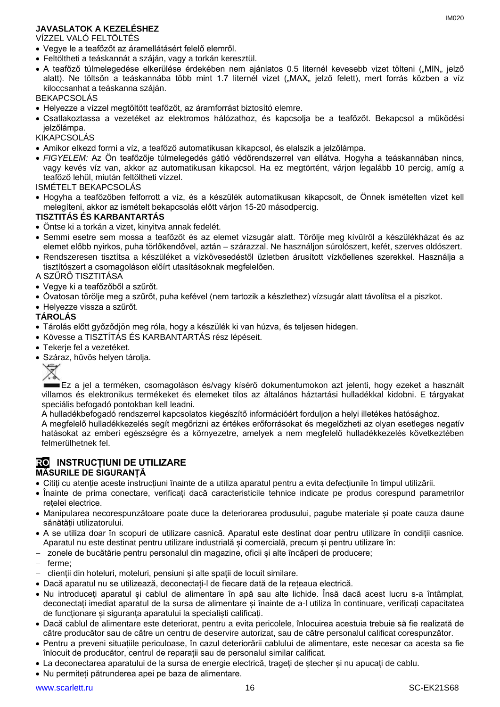# **JAVASLATOK A KEZELÉSHEZ**

VÍZZEL VALÓ FELTÖLTÉS

- Vegye le a teafőzőt az áramellátásért felelő elemről.
- Feltöltheti a teáskannát a száján, vagy a torkán keresztül.
- A teafőző túlmelegedése elkerülése érdekében nem ajánlatos 0.5 liternél kevesebb vizet tölteni ("MIN" jelző alatt). Ne töltsön a teáskannába több mint 1.7 liternél vizet ("MAX" jelző felett), mert forrás közben a víz kiloccsanhat a teáskanna száján.

BEKAPCSOLÁS

- Helyezze a vízzel megtöltött teafőzőt, az áramforrást biztosító elemre.
- Csatlakoztassa a vezetéket az elektromos hálózathoz, és kapcsolja be a teafőzőt. Bekapcsol a működési jelzőlámpa.

## KIKAPCSOLÁS

- Amikor elkezd forrni a víz, a teafőző automatikusan kikapcsol, és elalszik a jelzőlámpa.
- *FIGYELEM:* Az Ön teafőzője túlmelegedés gátló védőrendszerrel van ellátva. Hogyha a teáskannában nincs, vagy kevés víz van, akkor az automatikusan kikapcsol. Ha ez megtörtént, várjon legalább 10 percig, amíg a teafőző lehűl, miután feltöltheti vízzel.

ISMÉTELT BEKAPCSOLÁS

• Hogyha a teafőzőben felforrott a víz, és a készülék automatikusan kikapcsolt, de Önnek ismételten vizet kell melegíteni, akkor az ismételt bekapcsolás előtt várjon 15-20 másodpercig.

### **TISZTITÁS ÉS KARBANTARTÁS**

- Öntse ki a torkán a vizet, kinyitva annak fedelét.
- Semmi esetre sem mossa a teafőzőt és az elemet vízsugár alatt. Törölje meg kívülről a készülékházat és az elemet előbb nyirkos, puha törlőkendővel, aztán – szárazzal. Ne használjon súrolószert, kefét, szerves oldószert.
- Rendszeresen tisztítsa a készüléket a vízkövesedéstől üzletben árusított vízkőellenes szerekkel. Használja a tisztítószert a csomagoláson előírt utasításoknak megfelelően.

A SZŰRŐ TISZTITÁSA

- Vegye ki a teafőzőből a szűrőt.
- Óvatosan törölje meg a szűrőt, puha kefével (nem tartozik a készlethez) vízsugár alatt távolítsa el a piszkot.
- Helyezze vissza a szűrőt.

# **TÁROLÁS**

- Tárolás előtt győződjön meg róla, hogy a készülék ki van húzva, és teljesen hidegen.
- Kövesse a TISZTÍTÁS ÉS KARBANTARTÁS rész lépéseit.
- Tekerje fel a vezetéket.
- Száraz, hűvös helyen tárolja.



Ez a jel a terméken, csomagoláson és/vagy kísérő dokumentumokon azt jelenti, hogy ezeket a használt villamos és elektronikus termékeket és elemeket tilos az általános háztartási hulladékkal kidobni. E tárgyakat speciális befogadó pontokban kell leadni.

A hulladékbefogadó rendszerrel kapcsolatos kiegészítő információért forduljon a helyi illetékes hatósághoz.

A megfelelő hulladékkezelés segít megőrizni az értékes erőforrásokat és megelőzheti az olyan esetleges negatív hatásokat az emberi egészségre és a környezetre, amelyek a nem megfelelő hulladékkezelés következtében felmerülhetnek fel.

# **RO INSTRUCȚIUNI DE UTILIZARE**

# **MĂSURILE DE SIGURANȚĂ**

- Citiți cu atenție aceste instrucțiuni înainte de a utiliza aparatul pentru a evita defecțiunile în timpul utilizării.
- Înainte de prima conectare, verificați dacă caracteristicile tehnice indicate pe produs corespund parametrilor rețelei electrice.
- Manipularea necorespunzătoare poate duce la deteriorarea produsului, pagube materiale și poate cauza daune sănătății utilizatorului.
- A se utiliza doar în scopuri de utilizare casnică. Aparatul este destinat doar pentru utilizare în condiții casnice. Aparatul nu este destinat pentru utilizare industrială și comercială, precum și pentru utilizare în:
- − zonele de bucătărie pentru personalul din magazine, oficii și alte încăperi de producere;
- − ferme;
- − clienții din hoteluri, moteluri, pensiuni și alte spații de locuit similare.
- Dacă aparatul nu se utilizează, deconectați-l de fiecare dată de la rețeaua electrică.
- Nu introduceți aparatul și cablul de alimentare în apă sau alte lichide. Însă dacă acest lucru s-a întâmplat, deconectați imediat aparatul de la sursa de alimentare și înainte de a-l utiliza în continuare, verificați capacitatea de funcționare și siguranța aparatului la specialiști calificați.
- Dacă cablul de alimentare este deteriorat, pentru a evita pericolele, înlocuirea acestuia trebuie să fie realizată de către producător sau de către un centru de deservire autorizat, sau de către personalul calificat corespunzător.
- Pentru a preveni situațiile periculoase, în cazul deteriorării cablului de alimentare, este necesar ca acesta sa fie înlocuit de producător, centrul de reparații sau de personalul similar calificat.
- La deconectarea aparatului de la sursa de energie electrică, trageți de ștecher și nu apucați de cablu.
- Nu permiteți pătrunderea apei pe baza de alimentare.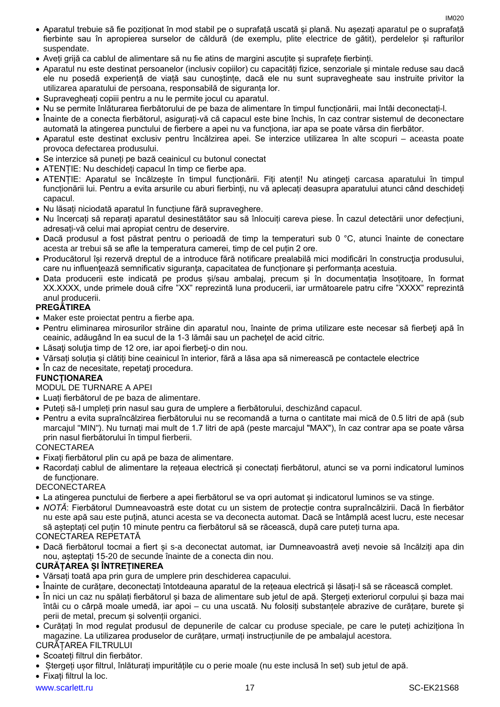- Aparatul trebuie să fie poziționat în mod stabil pe o suprafață uscată și plană. Nu așezați aparatul pe o suprafață fierbinte sau în apropierea surselor de căldură (de exemplu, plite electrice de gătit), perdelelor și rafturilor suspendate.
- Aveți grijă ca cablul de alimentare să nu fie atins de margini ascuțite și suprafețe fierbinți.
- Aparatul nu este destinat persoanelor (inclusiv copiilor) cu capacități fizice, senzoriale și mintale reduse sau dacă ele nu posedă experiență de viață sau cunoștințe, dacă ele nu sunt supravegheate sau instruite privitor la utilizarea aparatului de persoana, responsabilă de siguranța lor.
- Supravegheați copiii pentru a nu le permite jocul cu aparatul.
- Nu se permite înlăturarea fierbătorului de pe baza de alimentare în timpul funcționării, mai întâi deconectați-l.
- Înainte de a conecta fierbătorul, asigurați-vă că capacul este bine închis, în caz contrar sistemul de deconectare automată la atingerea punctului de fierbere a apei nu va funcționa, iar apa se poate vărsa din fierbător.
- Aparatul este destinat exclusiv pentru încălzirea apei. Se interzice utilizarea în alte scopuri aceasta poate provoca defectarea produsului.
- Se interzice să puneți pe bază ceainicul cu butonul conectat
- ATENȚIE: Nu deschideți capacul în timp ce fierbe apa.
- ATENȚIE: Aparatul se încălzește în timpul funcționării. Fiți atenți! Nu atingeți carcasa aparatului în timpul funcționării lui. Pentru a evita arsurile cu aburi fierbinți, nu vă aplecați deasupra aparatului atunci când deschideți capacul.
- Nu lăsați niciodată aparatul în funcțiune fără supraveghere.
- Nu încercați să reparați aparatul desinestătător sau să înlocuiți careva piese. În cazul detectării unor defecțiuni, adresați-vă celui mai apropiat centru de deservire.
- Dacă produsul a fost păstrat pentru o perioadă de timp la temperaturi sub 0 °C, atunci înainte de conectare acesta ar trebui să se afle la temperatura camerei, timp de cel puțin 2 ore.
- Producătorul își rezervă dreptul de a introduce fără notificare prealabilă mici modificări în construcţia produsului, care nu influenţează semnificativ siguranţa, capacitatea de funcționare şi performanța acestuia.
- Data producerii este indicată pe produs și/sau ambalaj, precum și în documentația însoțitoare, în format XX.XXXX, unde primele două cifre "XX" reprezintă luna producerii, iar următoarele patru cifre "XXXX" reprezintă anul producerii.

# **PREGĂTIREA**

- Maker este proiectat pentru a fierbe apa.
- Pentru eliminarea mirosurilor străine din aparatul nou, înainte de prima utilizare este necesar să fierbeţi apă în ceainic, adăugând în ea sucul de la 1-3 lămâi sau un pacheţel de acid citric.
- Lăsați soluția timp de 12 ore, iar apoi fierbeți-o din nou.
- Vărsați soluția și clătiți bine ceainicul în interior, fără a lăsa apa să nimerească pe contactele electrice
- În caz de necesitate, repetați procedura.

# **FUNCȚIONAREA**

# MODUL DE TURNARE A APEI

- Luați fierbătorul de pe baza de alimentare.
- Puteți să-l umpleți prin nasul sau gura de umplere a fierbătorului, deschizând capacul.
- Pentru a evita supraîncălzirea fierbătorului nu se recomandă a turna o cantitate mai mică de 0.5 litri de apă (sub marcajul "MIN"). Nu turnați mai mult de 1.7 litri de apă (peste marcajul "MAX"), în caz contrar apa se poate vărsa prin nasul fierbătorului în timpul fierberii.

# **CONECTAREA**

- Fixați fierbătorul plin cu apă pe baza de alimentare.
- Racordați cablul de alimentare la rețeaua electrică și conectați fierbătorul, atunci se va porni indicatorul luminos de funcționare.

# **DECONECTAREA**

- La atingerea punctului de fierbere a apei fierbătorul se va opri automat și indicatorul luminos se va stinge.
- *NOTĂ*: Fierbătorul Dumneavoastră este dotat cu un sistem de protecție contra supraîncălzirii. Dacă în fierbător nu este apă sau este puțină, atunci acesta se va deconecta automat. Dacă se întâmplă acest lucru, este necesar să așteptați cel puțin 10 minute pentru ca fierbătorul să se răcească, după care puteți turna apa.

# CONECTAREA REPETATĂ

• Dacă fierbătorul tocmai a fiert și s-a deconectat automat, iar Dumneavoastră aveți nevoie să încălziți apa din nou, așteptați 15-20 de secunde înainte de a conecta din nou.

# **CURĂȚAREA ȘI ÎNTREȚINEREA**

- Vărsați toată apa prin gura de umplere prin deschiderea capacului.
- Înainte de curățare, deconectați întotdeauna aparatul de la rețeaua electrică și lăsați-l să se răcească complet.
- În nici un caz nu spălați fierbătorul și baza de alimentare sub jetul de apă. Ștergeți exteriorul corpului și baza mai întâi cu o cârpă moale umedă, iar apoi – cu una uscată. Nu folosiți substanțele abrazive de curățare, burete și perii de metal, precum și solvenții organici.
- Curățați în mod regulat produsul de depunerile de calcar cu produse speciale, pe care le puteți achiziționa în magazine. La utilizarea produselor de curățare, urmați instrucțiunile de pe ambalajul acestora.
- CURĂȚAREA FILTRULUI
- Scoateți filtrul din fierbător.
- Ștergeți ușor filtrul, înlăturați impuritățile cu o perie moale (nu este inclusă în set) sub jetul de apă.

• Fixați filtrul la loc.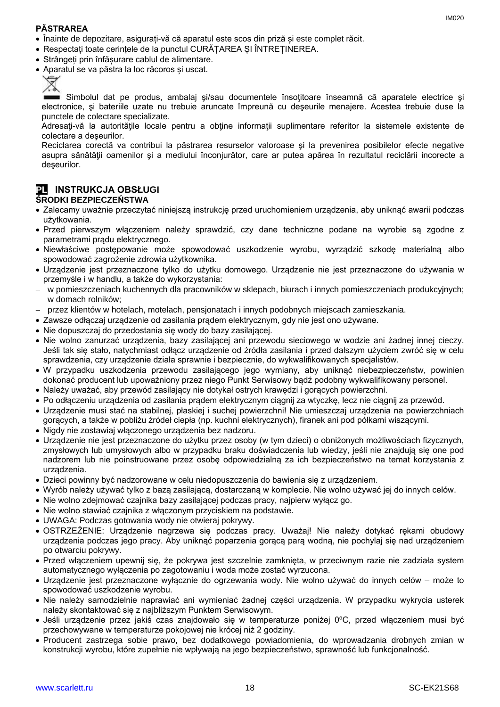### **PĂSTRAREA**

- Înainte de depozitare, asigurați-vă că aparatul este scos din priză și este complet răcit.
- Respectați toate cerințele de la punctul CURĂȚAREA ȘI ÎNTREȚINEREA.
- Strângeți prin înfășurare cablul de alimentare.
- Aparatul se va păstra la loc răcoros și uscat.



Simbolul dat pe produs, ambalaj si/sau documentele însotitoare înseamnă că aparatele electrice și electronice, şi bateriile uzate nu trebuie aruncate împreună cu deşeurile menajere. Acestea trebuie duse la punctele de colectare specializate.

Adresati-vă la autoritățile locale pentru a obține informații suplimentare referitor la sistemele existente de colectare a deşeurilor.

Reciclarea corectă va contribui la păstrarea resurselor valoroase şi la prevenirea posibilelor efecte negative asupra sănătății oamenilor și a mediului înconjurător, care ar putea apărea în rezultatul reciclării incorecte a deşeurilor.

### **PL INSTRUKCJA OBSŁUGI ŚRODKI BEZPIECZEŃSTWA**

- Zalecamy uważnie przeczytać niniejszą instrukcję przed uruchomieniem urządzenia, aby uniknąć awarii podczas użytkowania.
- Przed pierwszym włączeniem należy sprawdzić, czy dane techniczne podane na wyrobie są zgodne z parametrami prądu elektrycznego.
- Niewłaściwe postępowanie może spowodować uszkodzenie wyrobu, wyrządzić szkodę materialną albo spowodować zagrożenie zdrowia użytkownika.
- Urządzenie jest przeznaczone tylko do użytku domowego. Urządzenie nie jest przeznaczone do używania w przemyśle i w handlu, a także do wykorzystania:
- − w pomieszczeniach kuchennych dla pracowników w sklepach, biurach i innych pomieszczeniach produkcyjnych;
- − w domach rolników;
- − przez klientów w hotelach, motelach, pensjonatach i innych podobnych miejscach zamieszkania.
- Zawsze odłączaj urządzenie od zasilania prądem elektrycznym, gdy nie jest ono używane.
- Nie dopuszczaj do przedostania się wody do bazy zasilającej.
- Nie wolno zanurzać urządzenia, bazy zasilającej ani przewodu sieciowego w wodzie ani żadnej innej cieczy. Jeśli tak się stało, natychmiast odłącz urządzenie od źródła zasilania i przed dalszym użyciem zwróć się w celu sprawdzenia, czy urządzenie działa sprawnie i bezpiecznie, do wykwalifikowanych specjalistów.
- W przypadku uszkodzenia przewodu zasilającego jego wymiany, aby uniknąć niebezpieczeństw, powinien dokonać producent lub upoważniony przez niego Punkt Serwisowy bądź podobny wykwalifikowany personel.
- Należy uważać, aby przewód zasilający nie dotykał ostrych krawędzi i gorących powierzchni.
- Po odłączeniu urządzenia od zasilania pradem elektrycznym ciągnii za wtyczke, lecz nie ciągnii za przewód.
- Urządzenie musi stać na stabilnej, płaskiej i suchej powierzchni! Nie umieszczaj urządzenia na powierzchniach gorących, a także w pobliżu źródeł ciepła (np. kuchni elektrycznych), firanek ani pod półkami wiszącymi.
- Nigdy nie zostawiaj włączonego urządzenia bez nadzoru.
- Urządzenie nie jest przeznaczone do użytku przez osoby (w tym dzieci) o obniżonych możliwościach fizycznych, zmysłowych lub umysłowych albo w przypadku braku doświadczenia lub wiedzy, jeśli nie znajdują się one pod nadzorem lub nie poinstruowane przez osobę odpowiedzialną za ich bezpieczeństwo na temat korzystania z urządzenia.
- Dzieci powinny być nadzorowane w celu niedopuszczenia do bawienia się z urządzeniem.
- Wyrób należy używać tylko z bazą zasilającą, dostarczaną w komplecie. Nie wolno używać jej do innych celów.
- Nie wolno zdejmować czajnika bazy zasilającej podczas pracy, najpierw wyłącz go.
- Nie wolno stawiać czajnika z włączonym przyciskiem na podstawie.
- UWAGA: Podczas gotowania wody nie otwieraj pokrywy.
- OSTRZEŻENIE: Urządzenie nagrzewa się podczas pracy. Uważaj! Nie należy dotykać rękami obudowy urządzenia podczas jego pracy. Aby uniknąć poparzenia gorącą parą wodną, nie pochylaj się nad urządzeniem po otwarciu pokrywy.
- Przed włączeniem upewnij się, że pokrywa jest szczelnie zamknięta, w przeciwnym razie nie zadziała system automatycznego wyłączenia po zagotowaniu i woda może zostać wyrzucona.
- Urządzenie jest przeznaczone wyłącznie do ogrzewania wody. Nie wolno używać do innych celów może to spowodować uszkodzenie wyrobu.
- Nie należy samodzielnie naprawiać ani wymieniać żadnej części urządzenia. W przypadku wykrycia usterek należy skontaktować się z najbliższym Punktem Serwisowym.
- Jeśli urządzenie przez jakiś czas znajdowało się w temperaturze poniżej 0ºC, przed włączeniem musi być przechowywane w temperaturze pokojowej nie krócej niż 2 godziny.
- Producent zastrzega sobie prawo, bez dodatkowego powiadomienia, do wprowadzania drobnych zmian w konstrukcji wyrobu, które zupełnie nie wpływają na jego bezpieczeństwo, sprawność lub funkcjonalność.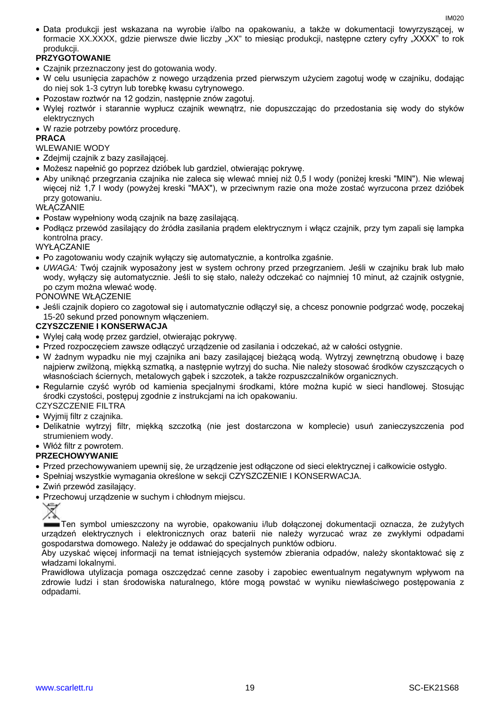• Data produkcji jest wskazana na wyrobie i/albo na opakowaniu, a także w dokumentacji towyrzyszącej, w formacie XX.XXXX, gdzie pierwsze dwie liczby "XX" to miesiąc produkcji, następne cztery cyfry "XXXX" to rok produkcji.

# **PRZYGOTOWANIE**

- Czajnik przeznaczony jest do gotowania wody.
- W celu usunięcia zapachów z nowego urządzenia przed pierwszym użyciem zagotuj wodę w czajniku, dodając do niej sok 1-3 cytryn lub torebkę kwasu cytrynowego.
- Pozostaw roztwór na 12 godzin, następnie znów zagotuj.
- Wylej roztwór i starannie wypłucz czajnik wewnątrz, nie dopuszczając do przedostania się wody do styków elektrycznych
- W razie potrzeby powtórz procedurę.

## **PRACA**

WLEWANIE WODY

- Zdejmij czajnik z bazy zasilającej.
- Możesz napełnić go poprzez dzióbek lub gardziel, otwierając pokrywę.
- Aby uniknąć przegrzania czajnika nie zaleca się wlewać mniej niż 0,5 l wody (poniżej kreski "MIN"). Nie wlewaj więcej niż 1,7 l wody (powyżej kreski "MAX"), w przeciwnym razie ona może zostać wyrzucona przez dzióbek przy gotowaniu.

**WŁACZANIE** 

- Postaw wypełniony wodą czajnik na bazę zasilającą.
- Podłącz przewód zasilający do źródła zasilania prądem elektrycznym i włącz czajnik, przy tym zapali się lampka kontrolna pracy.

**WYŁĄCZANIE** 

- Po zagotowaniu wody czajnik wyłączy się automatycznie, a kontrolka zgaśnie.
- *UWAGA:* Twój czajnik wyposażony jest w system ochrony przed przegrzaniem. Jeśli w czajniku brak lub mało wody, wyłączy się automatycznie. Jeśli to się stało, należy odczekać co najmniej 10 minut, aż czajnik ostygnie, po czym można wlewać wodę.

PONOWNE WŁĄCZENIE

• Jeśli czajnik dopiero co zagotował się i automatycznie odłączył się, a chcesz ponownie podgrzać wodę, poczekaj 15-20 sekund przed ponownym włączeniem.

### **CZYSZCZENIE I KONSERWACJA**

- Wylej całą wodę przez gardziel, otwierając pokrywę.
- Przed rozpoczęciem zawsze odłączyć urządzenie od zasilania i odczekać, aż w całości ostygnie.
- W żadnym wypadku nie myj czajnika ani bazy zasilającej bieżącą wodą. Wytrzyj zewnętrzną obudowę i bazę najpierw zwilżoną, miękką szmatką, a następnie wytrzyj do sucha. Nie należy stosować środków czyszczących o własnościach ściernych, metalowych gąbek i szczotek, a także rozpuszczalników organicznych.
- Regularnie czyść wyrób od kamienia specjalnymi środkami, które można kupić w sieci handlowej. Stosując środki czystości, postępuj zgodnie z instrukcjami na ich opakowaniu.

# CZYSZCZENIE FILTRA

- Wyjmij filtr z czajnika.
- Delikatnie wytrzyj filtr, miękką szczotką (nie jest dostarczona w komplecie) usuń zanieczyszczenia pod strumieniem wody.

• Włóż filtr z powrotem.

## **PRZECHOWYWANIE**

- Przed przechowywaniem upewnij się, że urządzenie jest odłączone od sieci elektrycznej i całkowicie ostygło.
- Spełniaj wszystkie wymagania określone w sekcji CZYSZCZENIE I KONSERWACJA.
- Zwiń przewód zasilający.
- Przechowuj urządzenie w suchym i chłodnym miejscu.



Ten symbol umieszczony na wyrobie, opakowaniu i/lub dołączonej dokumentacji oznacza, że zużytych urządzeń elektrycznych i elektronicznych oraz baterii nie należy wyrzucać wraz ze zwykłymi odpadami gospodarstwa domowego. Należy je oddawać do specjalnych punktów odbioru.

Aby uzyskać więcej informacji na temat istniejących systemów zbierania odpadów, należy skontaktować się z władzami lokalnymi.

Prawidłowa utylizacja pomaga oszczędzać cenne zasoby i zapobiec ewentualnym negatywnym wpływom na zdrowie ludzi i stan środowiska naturalnego, które mogą powstać w wyniku niewłaściwego postępowania z odpadami.